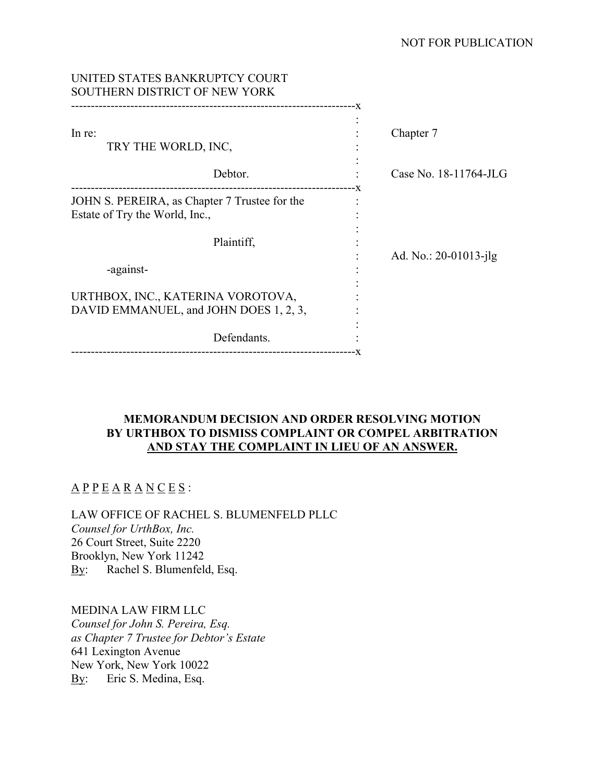# NOT FOR PUBLICATION

| UNITED STATES BANKRUPTCY COURT<br>SOUTHERN DISTRICT OF NEW YORK                 |                       |
|---------------------------------------------------------------------------------|-----------------------|
| In re:<br>TRY THE WORLD, INC,                                                   | Chapter 7             |
| Debtor.                                                                         | Case No. 18-11764-JLG |
| JOHN S. PEREIRA, as Chapter 7 Trustee for the<br>Estate of Try the World, Inc., |                       |
| Plaintiff,<br>-against-                                                         | Ad. No.: 20-01013-jlg |
| URTHBOX, INC., KATERINA VOROTOVA,<br>DAVID EMMANUEL, and JOHN DOES 1, 2, 3,     |                       |
| Defendants.                                                                     |                       |

# **MEMORANDUM DECISION AND ORDER RESOLVING MOTION BY URTHBOX TO DISMISS COMPLAINT OR COMPEL ARBITRATION AND STAY THE COMPLAINT IN LIEU OF AN ANSWER.**

# $\underline{A} \underline{P} \underline{P} \underline{E} \underline{A} \underline{R} \underline{A} \underline{N} \underline{C} \underline{E} \underline{S}$ :

LAW OFFICE OF RACHEL S. BLUMENFELD PLLC *Counsel for UrthBox, Inc.*  26 Court Street, Suite 2220 Brooklyn, New York 11242 By: Rachel S. Blumenfeld, Esq.

MEDINA LAW FIRM LLC *Counsel for John S. Pereira, Esq. as Chapter 7 Trustee for Debtor's Estate*  641 Lexington Avenue New York, New York 10022

By: Eric S. Medina, Esq.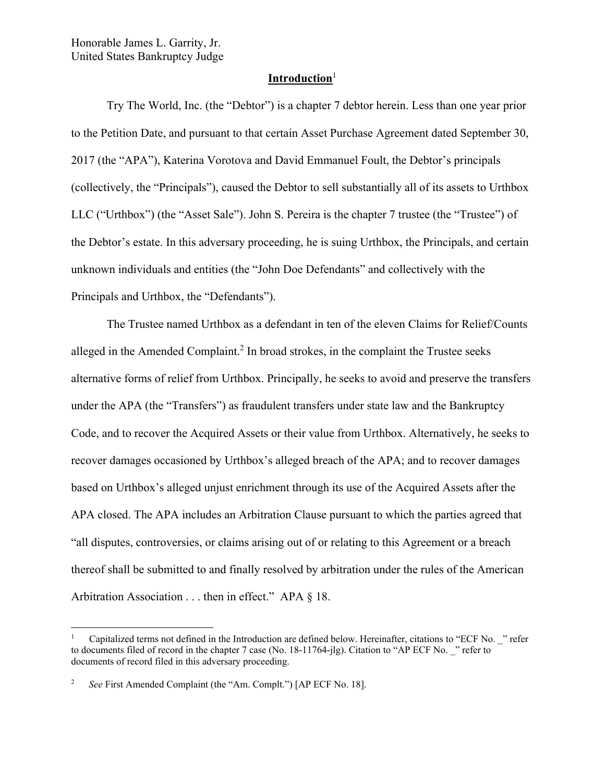Honorable James L. Garrity, Jr. United States Bankruptcy Judge

# **Introduction**<sup>1</sup>

Try The World, Inc. (the "Debtor") is a chapter 7 debtor herein. Less than one year prior to the Petition Date, and pursuant to that certain Asset Purchase Agreement dated September 30, 2017 (the "APA"), Katerina Vorotova and David Emmanuel Foult, the Debtor's principals (collectively, the "Principals"), caused the Debtor to sell substantially all of its assets to Urthbox LLC ("Urthbox") (the "Asset Sale"). John S. Pereira is the chapter 7 trustee (the "Trustee") of the Debtor's estate. In this adversary proceeding, he is suing Urthbox, the Principals, and certain unknown individuals and entities (the "John Doe Defendants" and collectively with the Principals and Urthbox, the "Defendants").

The Trustee named Urthbox as a defendant in ten of the eleven Claims for Relief/Counts alleged in the Amended Complaint.<sup>2</sup> In broad strokes, in the complaint the Trustee seeks alternative forms of relief from Urthbox. Principally, he seeks to avoid and preserve the transfers under the APA (the "Transfers") as fraudulent transfers under state law and the Bankruptcy Code, and to recover the Acquired Assets or their value from Urthbox. Alternatively, he seeks to recover damages occasioned by Urthbox's alleged breach of the APA; and to recover damages based on Urthbox's alleged unjust enrichment through its use of the Acquired Assets after the APA closed. The APA includes an Arbitration Clause pursuant to which the parties agreed that "all disputes, controversies, or claims arising out of or relating to this Agreement or a breach thereof shall be submitted to and finally resolved by arbitration under the rules of the American Arbitration Association . . . then in effect." APA § 18.

<sup>1</sup> Capitalized terms not defined in the Introduction are defined below. Hereinafter, citations to "ECF No. \_" refer to documents filed of record in the chapter 7 case (No. 18-11764-jlg). Citation to "AP ECF No. \_" refer to documents of record filed in this adversary proceeding.

<sup>2</sup> *See* First Amended Complaint (the "Am. Complt.") [AP ECF No. 18].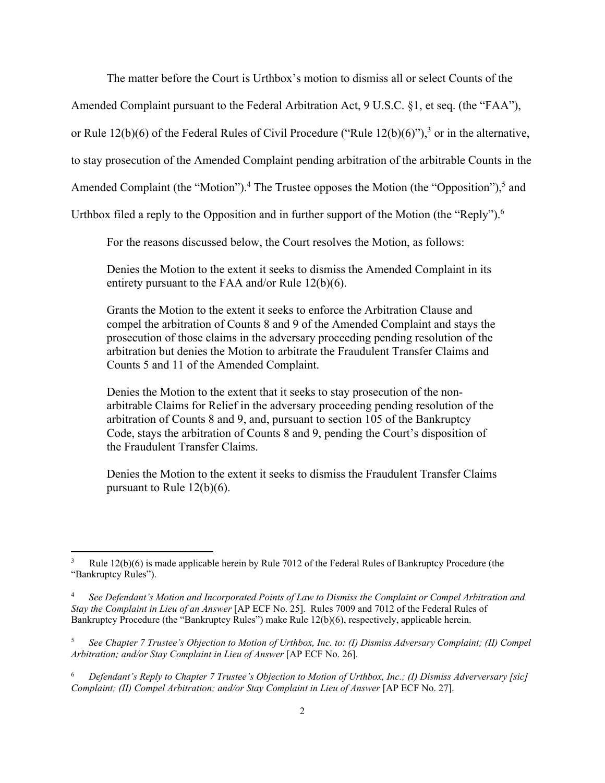The matter before the Court is Urthbox's motion to dismiss all or select Counts of the

Amended Complaint pursuant to the Federal Arbitration Act, 9 U.S.C. §1, et seq. (the "FAA"),

or Rule  $12(b)(6)$  of the Federal Rules of Civil Procedure ("Rule  $12(b)(6)$ "),<sup>3</sup> or in the alternative,

to stay prosecution of the Amended Complaint pending arbitration of the arbitrable Counts in the

Amended Complaint (the "Motion").<sup>4</sup> The Trustee opposes the Motion (the "Opposition"),<sup>5</sup> and

Urthbox filed a reply to the Opposition and in further support of the Motion (the "Reply").<sup>6</sup>

For the reasons discussed below, the Court resolves the Motion, as follows:

Denies the Motion to the extent it seeks to dismiss the Amended Complaint in its entirety pursuant to the FAA and/or Rule 12(b)(6).

Grants the Motion to the extent it seeks to enforce the Arbitration Clause and compel the arbitration of Counts 8 and 9 of the Amended Complaint and stays the prosecution of those claims in the adversary proceeding pending resolution of the arbitration but denies the Motion to arbitrate the Fraudulent Transfer Claims and Counts 5 and 11 of the Amended Complaint.

Denies the Motion to the extent that it seeks to stay prosecution of the nonarbitrable Claims for Relief in the adversary proceeding pending resolution of the arbitration of Counts 8 and 9, and, pursuant to section 105 of the Bankruptcy Code, stays the arbitration of Counts 8 and 9, pending the Court's disposition of the Fraudulent Transfer Claims.

Denies the Motion to the extent it seeks to dismiss the Fraudulent Transfer Claims pursuant to Rule 12(b)(6).

<sup>3</sup> Rule 12(b)(6) is made applicable herein by Rule 7012 of the Federal Rules of Bankruptcy Procedure (the "Bankruptcy Rules").

<sup>4</sup> *See Defendant's Motion and Incorporated Points of Law to Dismiss the Complaint or Compel Arbitration and Stay the Complaint in Lieu of an Answer* [AP ECF No. 25]. Rules 7009 and 7012 of the Federal Rules of Bankruptcy Procedure (the "Bankruptcy Rules") make Rule 12(b)(6), respectively, applicable herein.

<sup>5</sup> *See Chapter 7 Trustee's Objection to Motion of Urthbox, Inc. to: (I) Dismiss Adversary Complaint; (II) Compel Arbitration; and/or Stay Complaint in Lieu of Answer* [AP ECF No. 26].

<sup>6</sup> *Defendant's Reply to Chapter 7 Trustee's Objection to Motion of Urthbox, Inc.; (I) Dismiss Adverversary [sic] Complaint; (II) Compel Arbitration; and/or Stay Complaint in Lieu of Answer* [AP ECF No. 27].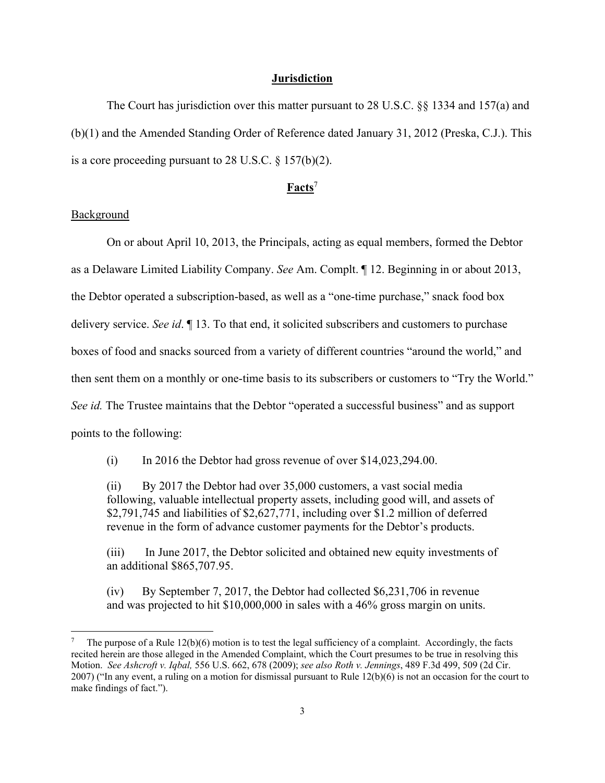#### **Jurisdiction**

The Court has jurisdiction over this matter pursuant to 28 U.S.C. §§ 1334 and 157(a) and (b)(1) and the Amended Standing Order of Reference dated January 31, 2012 (Preska, C.J.). This is a core proceeding pursuant to 28 U.S.C. § 157(b)(2).

# **Facts**<sup>7</sup>

# Background

On or about April 10, 2013, the Principals, acting as equal members, formed the Debtor as a Delaware Limited Liability Company. *See* Am. Complt. ¶ 12. Beginning in or about 2013, the Debtor operated a subscription-based, as well as a "one-time purchase," snack food box delivery service. *See id*. ¶ 13. To that end, it solicited subscribers and customers to purchase boxes of food and snacks sourced from a variety of different countries "around the world," and then sent them on a monthly or one-time basis to its subscribers or customers to "Try the World." *See id.* The Trustee maintains that the Debtor "operated a successful business" and as support points to the following:

(i) In 2016 the Debtor had gross revenue of over \$14,023,294.00.

(ii) By 2017 the Debtor had over 35,000 customers, a vast social media following, valuable intellectual property assets, including good will, and assets of \$2,791,745 and liabilities of \$2,627,771, including over \$1.2 million of deferred revenue in the form of advance customer payments for the Debtor's products.

(iii) In June 2017, the Debtor solicited and obtained new equity investments of an additional \$865,707.95.

(iv) By September 7, 2017, the Debtor had collected \$6,231,706 in revenue and was projected to hit \$10,000,000 in sales with a 46% gross margin on units.

<sup>7</sup> The purpose of a Rule 12(b)(6) motion is to test the legal sufficiency of a complaint. Accordingly, the facts recited herein are those alleged in the Amended Complaint, which the Court presumes to be true in resolving this Motion. *See Ashcroft v. Iqbal,* 556 U.S. 662, 678 (2009); *see also Roth v. Jennings*, 489 F.3d 499, 509 (2d Cir. 2007) ("In any event, a ruling on a motion for dismissal pursuant to Rule 12(b)(6) is not an occasion for the court to make findings of fact.").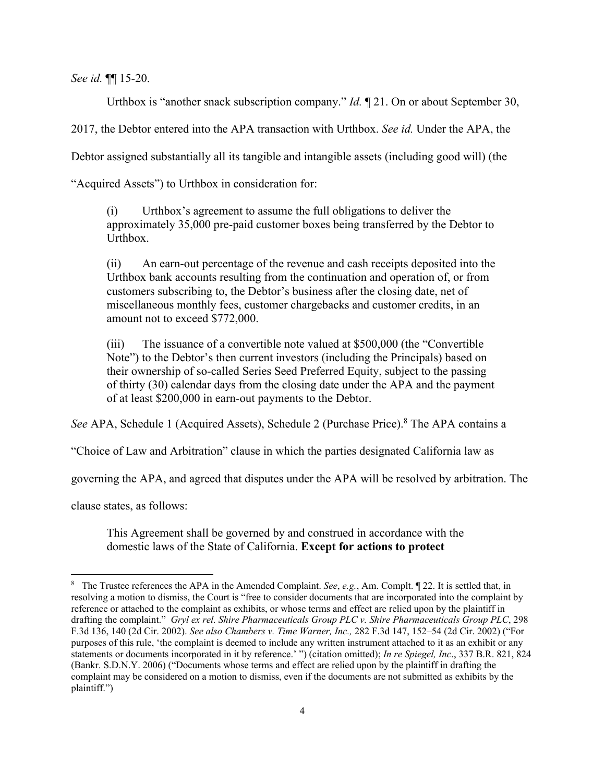*See id.* ¶¶ 15-20.

Urthbox is "another snack subscription company." *Id.* ¶ 21. On or about September 30,

2017, the Debtor entered into the APA transaction with Urthbox. *See id.* Under the APA, the

Debtor assigned substantially all its tangible and intangible assets (including good will) (the

"Acquired Assets") to Urthbox in consideration for:

(i) Urthbox's agreement to assume the full obligations to deliver the approximately 35,000 pre-paid customer boxes being transferred by the Debtor to Urthbox.

(ii) An earn-out percentage of the revenue and cash receipts deposited into the Urthbox bank accounts resulting from the continuation and operation of, or from customers subscribing to, the Debtor's business after the closing date, net of miscellaneous monthly fees, customer chargebacks and customer credits, in an amount not to exceed \$772,000.

(iii) The issuance of a convertible note valued at \$500,000 (the "Convertible Note") to the Debtor's then current investors (including the Principals) based on their ownership of so-called Series Seed Preferred Equity, subject to the passing of thirty (30) calendar days from the closing date under the APA and the payment of at least \$200,000 in earn-out payments to the Debtor.

See APA, Schedule 1 (Acquired Assets), Schedule 2 (Purchase Price).<sup>8</sup> The APA contains a

"Choice of Law and Arbitration" clause in which the parties designated California law as

governing the APA, and agreed that disputes under the APA will be resolved by arbitration. The

clause states, as follows:

This Agreement shall be governed by and construed in accordance with the domestic laws of the State of California. **Except for actions to protect** 

<sup>8</sup> The Trustee references the APA in the Amended Complaint. *See*, *e.g.*, Am. Complt. ¶ 22. It is settled that, in resolving a motion to dismiss, the Court is "free to consider documents that are incorporated into the complaint by reference or attached to the complaint as exhibits, or whose terms and effect are relied upon by the plaintiff in drafting the complaint." *Gryl ex rel. Shire Pharmaceuticals Group PLC v. Shire Pharmaceuticals Group PLC*, 298 F.3d 136, 140 (2d Cir. 2002). *See also Chambers v. Time Warner, Inc.,* 282 F.3d 147, 152–54 (2d Cir. 2002) ("For purposes of this rule, 'the complaint is deemed to include any written instrument attached to it as an exhibit or any statements or documents incorporated in it by reference.' ") (citation omitted); *In re Spiegel, Inc*., 337 B.R. 821, 824 (Bankr. S.D.N.Y. 2006) ("Documents whose terms and effect are relied upon by the plaintiff in drafting the complaint may be considered on a motion to dismiss, even if the documents are not submitted as exhibits by the plaintiff.")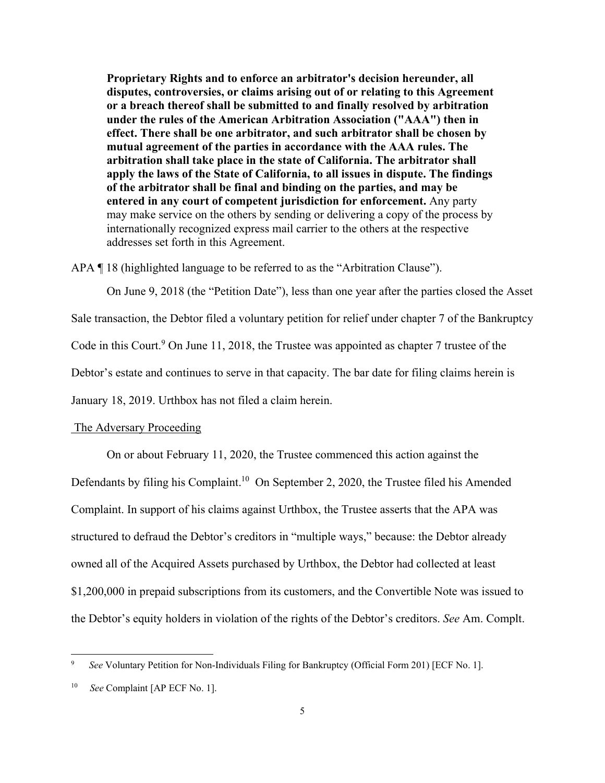**Proprietary Rights and to enforce an arbitrator's decision hereunder, all disputes, controversies, or claims arising out of or relating to this Agreement or a breach thereof shall be submitted to and finally resolved by arbitration under the rules of the American Arbitration Association ("AAA") then in effect. There shall be one arbitrator, and such arbitrator shall be chosen by mutual agreement of the parties in accordance with the AAA rules. The arbitration shall take place in the state of California. The arbitrator shall apply the laws of the State of California, to all issues in dispute. The findings of the arbitrator shall be final and binding on the parties, and may be entered in any court of competent jurisdiction for enforcement.** Any party may make service on the others by sending or delivering a copy of the process by internationally recognized express mail carrier to the others at the respective addresses set forth in this Agreement.

APA ¶ 18 (highlighted language to be referred to as the "Arbitration Clause").

On June 9, 2018 (the "Petition Date"), less than one year after the parties closed the Asset Sale transaction, the Debtor filed a voluntary petition for relief under chapter 7 of the Bankruptcy Code in this Court.<sup>9</sup> On June 11, 2018, the Trustee was appointed as chapter 7 trustee of the Debtor's estate and continues to serve in that capacity. The bar date for filing claims herein is January 18, 2019. Urthbox has not filed a claim herein.

#### The Adversary Proceeding

 On or about February 11, 2020, the Trustee commenced this action against the Defendants by filing his Complaint.<sup>10</sup> On September 2, 2020, the Trustee filed his Amended Complaint. In support of his claims against Urthbox, the Trustee asserts that the APA was structured to defraud the Debtor's creditors in "multiple ways," because: the Debtor already owned all of the Acquired Assets purchased by Urthbox, the Debtor had collected at least \$1,200,000 in prepaid subscriptions from its customers, and the Convertible Note was issued to the Debtor's equity holders in violation of the rights of the Debtor's creditors. *See* Am. Complt.

<sup>9</sup> *See* Voluntary Petition for Non-Individuals Filing for Bankruptcy (Official Form 201) [ECF No. 1].

See Complaint [AP ECF No. 1].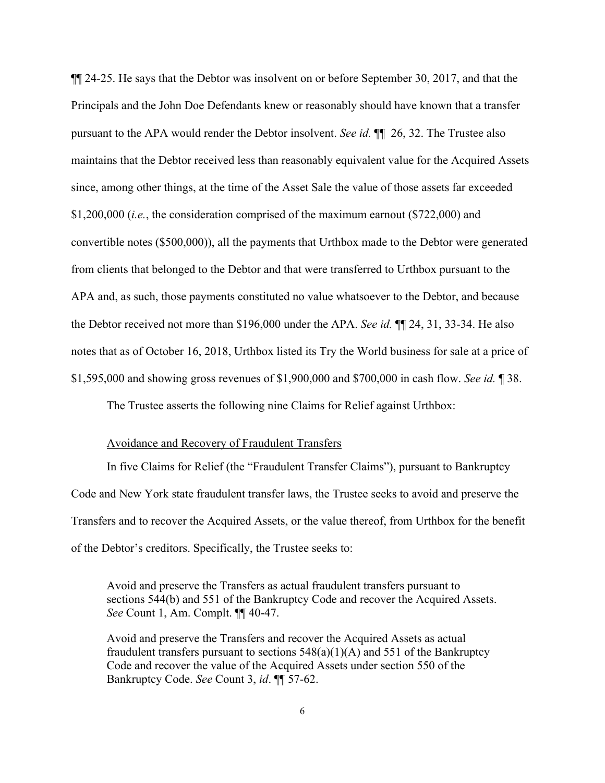¶¶ 24-25. He says that the Debtor was insolvent on or before September 30, 2017, and that the Principals and the John Doe Defendants knew or reasonably should have known that a transfer pursuant to the APA would render the Debtor insolvent. *See id.* ¶¶ 26, 32. The Trustee also maintains that the Debtor received less than reasonably equivalent value for the Acquired Assets since, among other things, at the time of the Asset Sale the value of those assets far exceeded \$1,200,000 (*i.e.*, the consideration comprised of the maximum earnout (\$722,000) and convertible notes (\$500,000)), all the payments that Urthbox made to the Debtor were generated from clients that belonged to the Debtor and that were transferred to Urthbox pursuant to the APA and, as such, those payments constituted no value whatsoever to the Debtor, and because the Debtor received not more than \$196,000 under the APA. *See id.* ¶¶ 24, 31, 33-34. He also notes that as of October 16, 2018, Urthbox listed its Try the World business for sale at a price of \$1,595,000 and showing gross revenues of \$1,900,000 and \$700,000 in cash flow. *See id.* ¶ 38.

The Trustee asserts the following nine Claims for Relief against Urthbox:

### Avoidance and Recovery of Fraudulent Transfers

 In five Claims for Relief (the "Fraudulent Transfer Claims"), pursuant to Bankruptcy Code and New York state fraudulent transfer laws, the Trustee seeks to avoid and preserve the Transfers and to recover the Acquired Assets, or the value thereof, from Urthbox for the benefit of the Debtor's creditors. Specifically, the Trustee seeks to:

Avoid and preserve the Transfers as actual fraudulent transfers pursuant to sections 544(b) and 551 of the Bankruptcy Code and recover the Acquired Assets. *See* Count 1, Am. Complt. ¶¶ 40-47.

Avoid and preserve the Transfers and recover the Acquired Assets as actual fraudulent transfers pursuant to sections  $548(a)(1)(A)$  and  $551$  of the Bankruptcy Code and recover the value of the Acquired Assets under section 550 of the Bankruptcy Code. *See* Count 3, *id*. ¶¶ 57-62.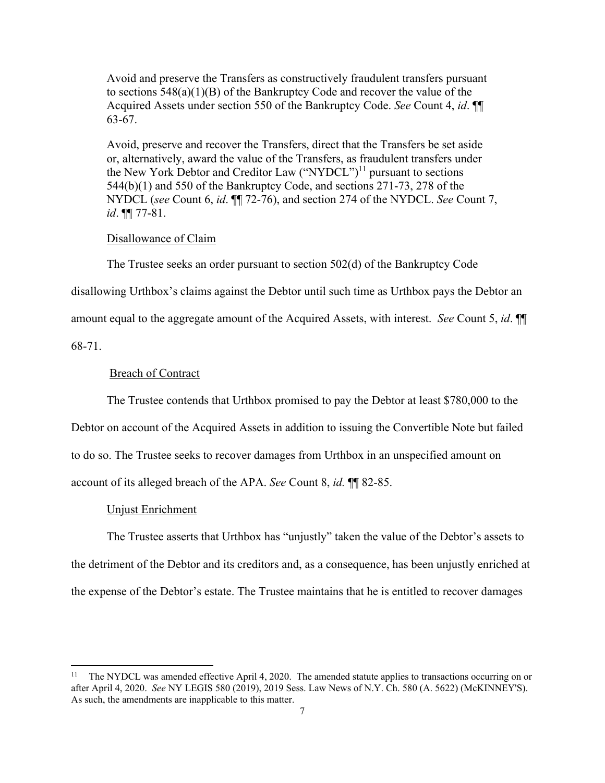Avoid and preserve the Transfers as constructively fraudulent transfers pursuant to sections 548(a)(1)(B) of the Bankruptcy Code and recover the value of the Acquired Assets under section 550 of the Bankruptcy Code. *See* Count 4, *id*. ¶¶ 63-67.

Avoid, preserve and recover the Transfers, direct that the Transfers be set aside or, alternatively, award the value of the Transfers, as fraudulent transfers under the New York Debtor and Creditor Law  $("NYDCL")<sup>11</sup>$  pursuant to sections 544(b)(1) and 550 of the Bankruptcy Code, and sections 271-73, 278 of the NYDCL (*see* Count 6, *id*. ¶¶ 72-76), and section 274 of the NYDCL. *See* Count 7, *id*. ¶¶ 77-81.

#### Disallowance of Claim

The Trustee seeks an order pursuant to section 502(d) of the Bankruptcy Code

disallowing Urthbox's claims against the Debtor until such time as Urthbox pays the Debtor an

amount equal to the aggregate amount of the Acquired Assets, with interest. *See* Count 5, *id*. ¶¶

68-71.

### Breach of Contract

The Trustee contends that Urthbox promised to pay the Debtor at least \$780,000 to the

Debtor on account of the Acquired Assets in addition to issuing the Convertible Note but failed

to do so. The Trustee seeks to recover damages from Urthbox in an unspecified amount on

account of its alleged breach of the APA. *See* Count 8, *id.* ¶¶ 82-85.

#### Unjust Enrichment

 The Trustee asserts that Urthbox has "unjustly" taken the value of the Debtor's assets to the detriment of the Debtor and its creditors and, as a consequence, has been unjustly enriched at the expense of the Debtor's estate. The Trustee maintains that he is entitled to recover damages

<sup>11</sup> The NYDCL was amended effective April 4, 2020. The amended statute applies to transactions occurring on or after April 4, 2020. *See* NY LEGIS 580 (2019), 2019 Sess. Law News of N.Y. Ch. 580 (A. 5622) (McKINNEY'S). As such, the amendments are inapplicable to this matter.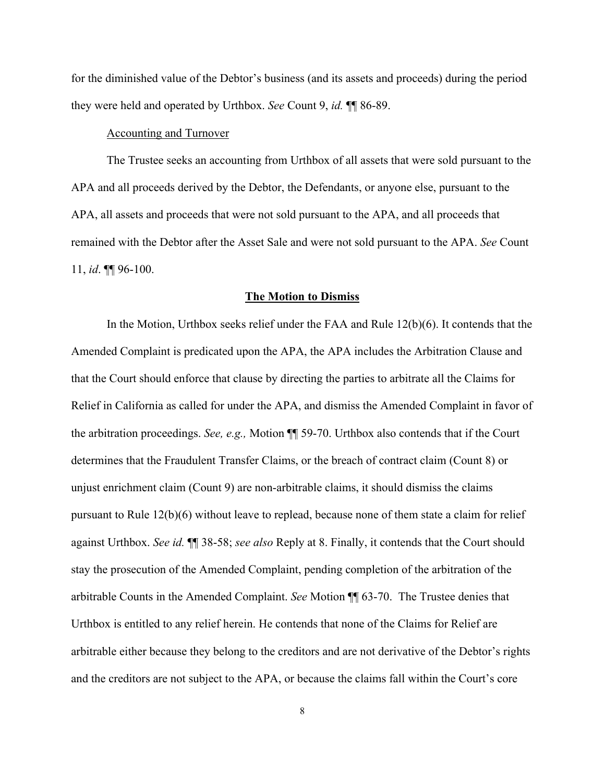for the diminished value of the Debtor's business (and its assets and proceeds) during the period they were held and operated by Urthbox. *See* Count 9, *id.* ¶¶ 86-89.

## Accounting and Turnover

 The Trustee seeks an accounting from Urthbox of all assets that were sold pursuant to the APA and all proceeds derived by the Debtor, the Defendants, or anyone else, pursuant to the APA, all assets and proceeds that were not sold pursuant to the APA, and all proceeds that remained with the Debtor after the Asset Sale and were not sold pursuant to the APA. *See* Count 11, *id*. ¶¶ 96-100.

#### **The Motion to Dismiss**

 In the Motion, Urthbox seeks relief under the FAA and Rule 12(b)(6). It contends that the Amended Complaint is predicated upon the APA, the APA includes the Arbitration Clause and that the Court should enforce that clause by directing the parties to arbitrate all the Claims for Relief in California as called for under the APA, and dismiss the Amended Complaint in favor of the arbitration proceedings. *See, e.g.,* Motion ¶¶ 59-70. Urthbox also contends that if the Court determines that the Fraudulent Transfer Claims, or the breach of contract claim (Count 8) or unjust enrichment claim (Count 9) are non-arbitrable claims, it should dismiss the claims pursuant to Rule 12(b)(6) without leave to replead, because none of them state a claim for relief against Urthbox. *See id.* ¶¶ 38-58; *see also* Reply at 8. Finally, it contends that the Court should stay the prosecution of the Amended Complaint, pending completion of the arbitration of the arbitrable Counts in the Amended Complaint. *See* Motion ¶¶ 63-70. The Trustee denies that Urthbox is entitled to any relief herein. He contends that none of the Claims for Relief are arbitrable either because they belong to the creditors and are not derivative of the Debtor's rights and the creditors are not subject to the APA, or because the claims fall within the Court's core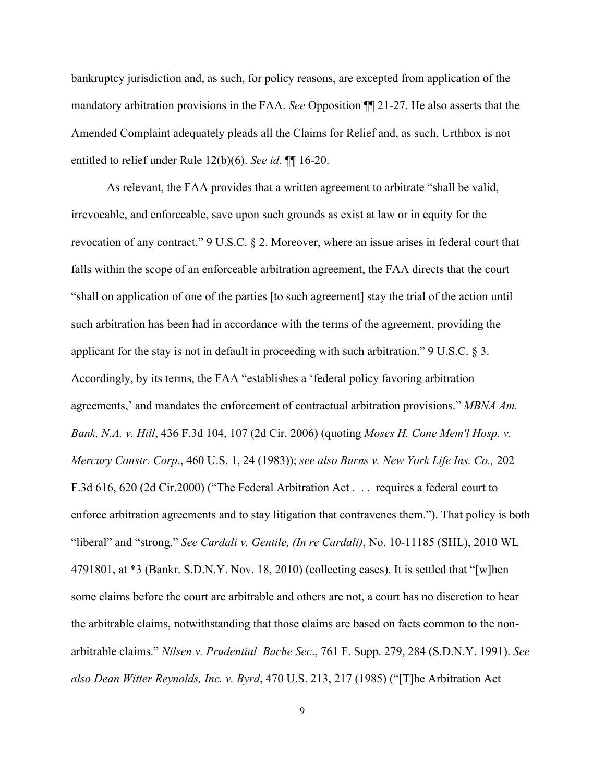bankruptcy jurisdiction and, as such, for policy reasons, are excepted from application of the mandatory arbitration provisions in the FAA. *See* Opposition ¶¶ 21-27. He also asserts that the Amended Complaint adequately pleads all the Claims for Relief and, as such, Urthbox is not entitled to relief under Rule 12(b)(6). *See id.* ¶¶ 16-20.

 As relevant, the FAA provides that a written agreement to arbitrate "shall be valid, irrevocable, and enforceable, save upon such grounds as exist at law or in equity for the revocation of any contract." 9 U.S.C. § 2. Moreover, where an issue arises in federal court that falls within the scope of an enforceable arbitration agreement, the FAA directs that the court "shall on application of one of the parties [to such agreement] stay the trial of the action until such arbitration has been had in accordance with the terms of the agreement, providing the applicant for the stay is not in default in proceeding with such arbitration." 9 U.S.C. § 3. Accordingly, by its terms, the FAA "establishes a 'federal policy favoring arbitration agreements,' and mandates the enforcement of contractual arbitration provisions." *MBNA Am. Bank, N.A. v. Hill*, 436 F.3d 104, 107 (2d Cir. 2006) (quoting *Moses H. Cone Mem'l Hosp. v. Mercury Constr. Corp*., 460 U.S. 1, 24 (1983)); *see also Burns v. New York Life Ins. Co.,* 202 F.3d 616, 620 (2d Cir.2000) ("The Federal Arbitration Act . . . requires a federal court to enforce arbitration agreements and to stay litigation that contravenes them."). That policy is both "liberal" and "strong." *See Cardali v. Gentile, (In re Cardali)*, No. 10-11185 (SHL), 2010 WL 4791801, at  $*3$  (Bankr. S.D.N.Y. Nov. 18, 2010) (collecting cases). It is settled that "[w]hen some claims before the court are arbitrable and others are not, a court has no discretion to hear the arbitrable claims, notwithstanding that those claims are based on facts common to the nonarbitrable claims." *Nilsen v. Prudential–Bache Sec*., 761 F. Supp. 279, 284 (S.D.N.Y. 1991). *See also Dean Witter Reynolds, Inc. v. Byrd*, 470 U.S. 213, 217 (1985) ("[T]he Arbitration Act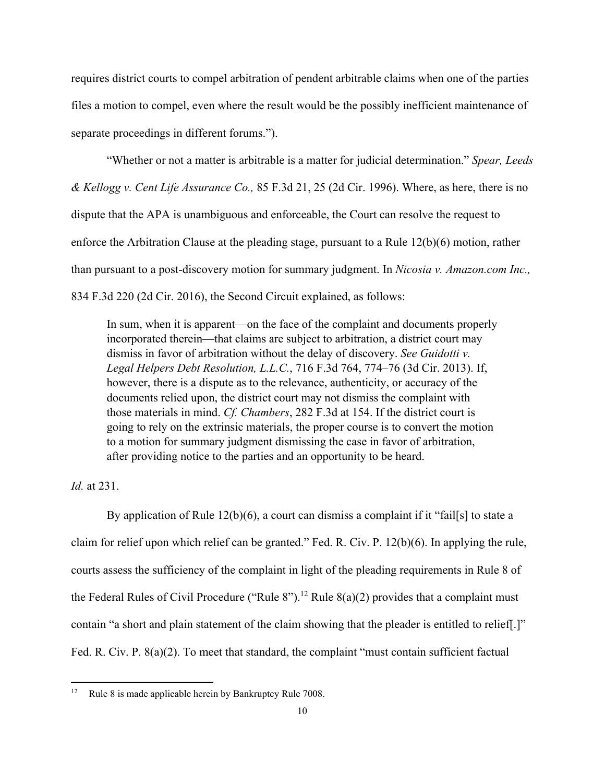requires district courts to compel arbitration of pendent arbitrable claims when one of the parties files a motion to compel, even where the result would be the possibly inefficient maintenance of separate proceedings in different forums.").

 "Whether or not a matter is arbitrable is a matter for judicial determination." *Spear, Leeds & Kellogg v. Cent Life Assurance Co.,* 85 F.3d 21, 25 (2d Cir. 1996). Where, as here, there is no dispute that the APA is unambiguous and enforceable, the Court can resolve the request to enforce the Arbitration Clause at the pleading stage, pursuant to a Rule 12(b)(6) motion, rather than pursuant to a post-discovery motion for summary judgment. In *Nicosia v. Amazon.com Inc.,* 834 F.3d 220 (2d Cir. 2016), the Second Circuit explained, as follows:

In sum, when it is apparent—on the face of the complaint and documents properly incorporated therein—that claims are subject to arbitration, a district court may dismiss in favor of arbitration without the delay of discovery. *See Guidotti v. Legal Helpers Debt Resolution, L.L.C.*, 716 F.3d 764, 774–76 (3d Cir. 2013). If, however, there is a dispute as to the relevance, authenticity, or accuracy of the documents relied upon, the district court may not dismiss the complaint with those materials in mind. *Cf. Chambers*, 282 F.3d at 154. If the district court is going to rely on the extrinsic materials, the proper course is to convert the motion to a motion for summary judgment dismissing the case in favor of arbitration, after providing notice to the parties and an opportunity to be heard.

# *Id.* at 231.

 By application of Rule 12(b)(6), a court can dismiss a complaint if it "fail[s] to state a claim for relief upon which relief can be granted." Fed. R. Civ. P. 12(b)(6). In applying the rule, courts assess the sufficiency of the complaint in light of the pleading requirements in Rule 8 of the Federal Rules of Civil Procedure ("Rule 8").<sup>12</sup> Rule 8(a)(2) provides that a complaint must contain "a short and plain statement of the claim showing that the pleader is entitled to relief[.]" Fed. R. Civ. P. 8(a)(2). To meet that standard, the complaint "must contain sufficient factual

<sup>&</sup>lt;sup>12</sup> Rule 8 is made applicable herein by Bankruptcy Rule 7008.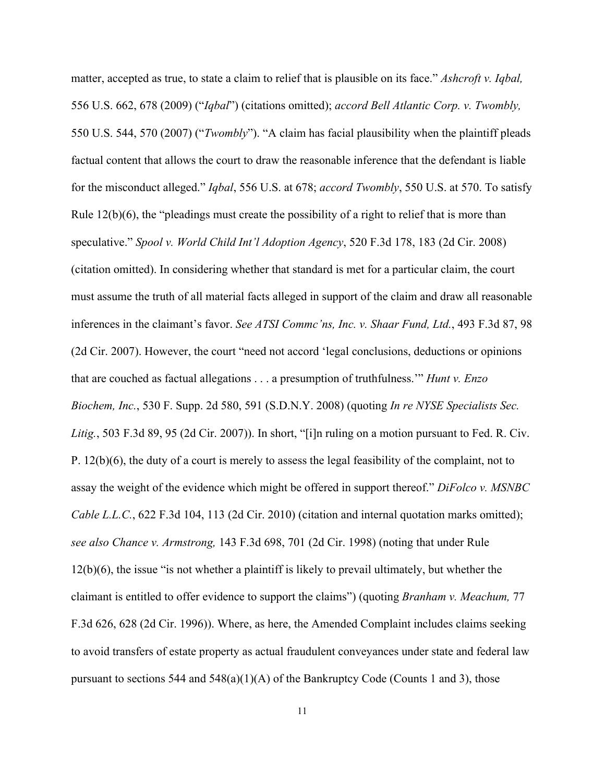matter, accepted as true, to state a claim to relief that is plausible on its face." *Ashcroft v. Iqbal,*  556 U.S. 662, 678 (2009) ("*Iqbal*") (citations omitted); *accord Bell Atlantic Corp. v. Twombly,*  550 U.S. 544, 570 (2007) ("*Twombly*"). "A claim has facial plausibility when the plaintiff pleads factual content that allows the court to draw the reasonable inference that the defendant is liable for the misconduct alleged." *Iqbal*, 556 U.S. at 678; *accord Twombly*, 550 U.S. at 570. To satisfy Rule 12(b)(6), the "pleadings must create the possibility of a right to relief that is more than speculative." *Spool v. World Child Int'l Adoption Agency*, 520 F.3d 178, 183 (2d Cir. 2008) (citation omitted). In considering whether that standard is met for a particular claim, the court must assume the truth of all material facts alleged in support of the claim and draw all reasonable inferences in the claimant's favor. *See ATSI Commc'ns, Inc. v. Shaar Fund, Ltd.*, 493 F.3d 87, 98 (2d Cir. 2007). However, the court "need not accord 'legal conclusions, deductions or opinions that are couched as factual allegations . . . a presumption of truthfulness.'" *Hunt v. Enzo Biochem, Inc.*, 530 F. Supp. 2d 580, 591 (S.D.N.Y. 2008) (quoting *In re NYSE Specialists Sec. Litig.*, 503 F.3d 89, 95 (2d Cir. 2007)). In short, "[i]n ruling on a motion pursuant to Fed. R. Civ. P. 12(b)(6), the duty of a court is merely to assess the legal feasibility of the complaint, not to assay the weight of the evidence which might be offered in support thereof." *DiFolco v. MSNBC Cable L.L.C.*, 622 F.3d 104, 113 (2d Cir. 2010) (citation and internal quotation marks omitted); *see also Chance v. Armstrong,* 143 F.3d 698, 701 (2d Cir. 1998) (noting that under Rule 12(b)(6), the issue "is not whether a plaintiff is likely to prevail ultimately, but whether the claimant is entitled to offer evidence to support the claims") (quoting *Branham v. Meachum,* 77 F.3d 626, 628 (2d Cir. 1996)). Where, as here, the Amended Complaint includes claims seeking to avoid transfers of estate property as actual fraudulent conveyances under state and federal law pursuant to sections 544 and  $548(a)(1)(A)$  of the Bankruptcy Code (Counts 1 and 3), those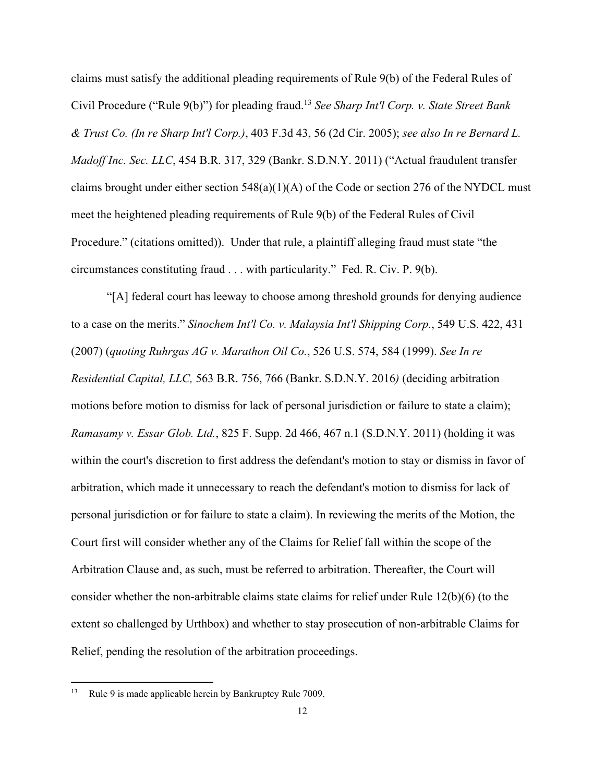claims must satisfy the additional pleading requirements of Rule 9(b) of the Federal Rules of Civil Procedure ("Rule 9(b)") for pleading fraud.13 *See Sharp Int'l Corp. v. State Street Bank & Trust Co. (In re Sharp Int'l Corp.)*, 403 F.3d 43, 56 (2d Cir. 2005); *see also In re Bernard L. Madoff Inc. Sec. LLC*, 454 B.R. 317, 329 (Bankr. S.D.N.Y. 2011) ("Actual fraudulent transfer claims brought under either section  $548(a)(1)(A)$  of the Code or section 276 of the NYDCL must meet the heightened pleading requirements of Rule 9(b) of the Federal Rules of Civil Procedure." (citations omitted)). Under that rule, a plaintiff alleging fraud must state "the circumstances constituting fraud . . . with particularity." Fed. R. Civ. P. 9(b).

 "[A] federal court has leeway to choose among threshold grounds for denying audience to a case on the merits." *Sinochem Int'l Co. v. Malaysia Int'l Shipping Corp.*, 549 U.S. 422, 431 (2007) (*quoting Ruhrgas AG v. Marathon Oil Co.*, 526 U.S. 574, 584 (1999). *See In re Residential Capital, LLC,* 563 B.R. 756, 766 (Bankr. S.D.N.Y. 2016*)* (deciding arbitration motions before motion to dismiss for lack of personal jurisdiction or failure to state a claim); *Ramasamy v. Essar Glob. Ltd.*, 825 F. Supp. 2d 466, 467 n.1 (S.D.N.Y. 2011) (holding it was within the court's discretion to first address the defendant's motion to stay or dismiss in favor of arbitration, which made it unnecessary to reach the defendant's motion to dismiss for lack of personal jurisdiction or for failure to state a claim). In reviewing the merits of the Motion, the Court first will consider whether any of the Claims for Relief fall within the scope of the Arbitration Clause and, as such, must be referred to arbitration. Thereafter, the Court will consider whether the non-arbitrable claims state claims for relief under Rule 12(b)(6) (to the extent so challenged by Urthbox) and whether to stay prosecution of non-arbitrable Claims for Relief, pending the resolution of the arbitration proceedings.

<sup>13</sup> Rule 9 is made applicable herein by Bankruptcy Rule 7009.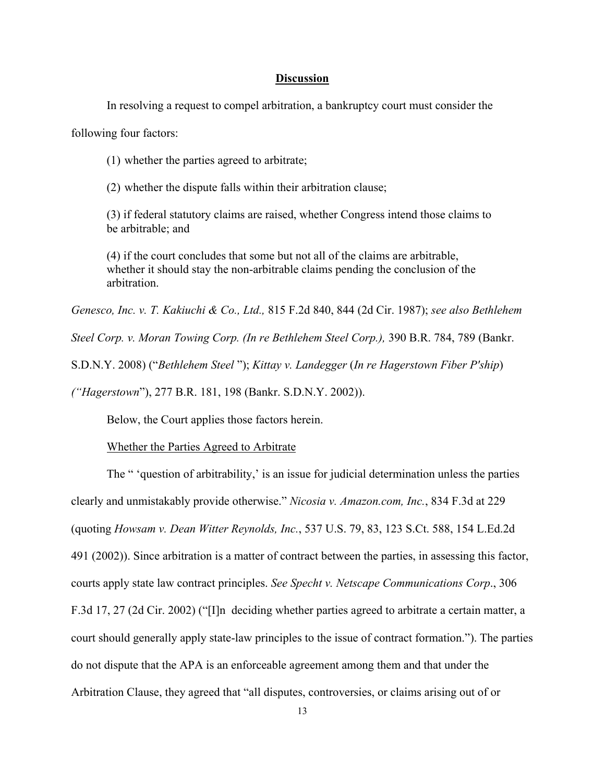#### **Discussion**

In resolving a request to compel arbitration, a bankruptcy court must consider the

following four factors:

(1) whether the parties agreed to arbitrate;

(2) whether the dispute falls within their arbitration clause;

(3) if federal statutory claims are raised, whether Congress intend those claims to be arbitrable; and

(4) if the court concludes that some but not all of the claims are arbitrable, whether it should stay the non-arbitrable claims pending the conclusion of the arbitration.

*Genesco, Inc. v. T. Kakiuchi & Co., Ltd.,* 815 F.2d 840, 844 (2d Cir. 1987); *see also Bethlehem* 

*Steel Corp. v. Moran Towing Corp. (In re Bethlehem Steel Corp.),* 390 B.R. 784, 789 (Bankr.

S.D.N.Y. 2008) ("*Bethlehem Steel* "); *Kittay v. Landegger* (*In re Hagerstown Fiber P'ship*)

*("Hagerstown*"), 277 B.R. 181, 198 (Bankr. S.D.N.Y. 2002)).

Below, the Court applies those factors herein.

Whether the Parties Agreed to Arbitrate

The " 'question of arbitrability,' is an issue for judicial determination unless the parties clearly and unmistakably provide otherwise." *Nicosia v. Amazon.com, Inc.*, 834 F.3d at 229 (quoting *Howsam v. Dean Witter Reynolds, Inc.*, 537 U.S. 79, 83, 123 S.Ct. 588, 154 L.Ed.2d 491 (2002)). Since arbitration is a matter of contract between the parties, in assessing this factor, courts apply state law contract principles. *See Specht v. Netscape Communications Corp*., 306 F.3d 17, 27 (2d Cir. 2002) ("[I]n deciding whether parties agreed to arbitrate a certain matter, a court should generally apply state-law principles to the issue of contract formation."). The parties do not dispute that the APA is an enforceable agreement among them and that under the Arbitration Clause, they agreed that "all disputes, controversies, or claims arising out of or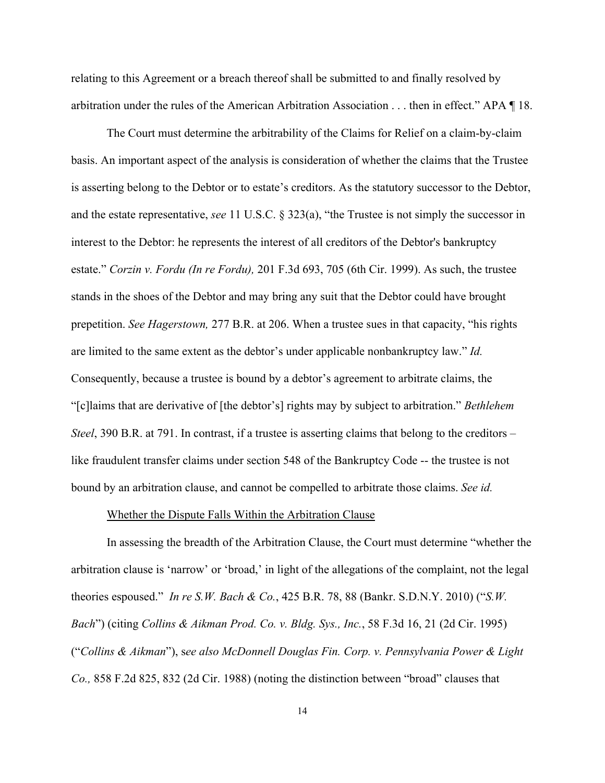relating to this Agreement or a breach thereof shall be submitted to and finally resolved by arbitration under the rules of the American Arbitration Association . . . then in effect." APA ¶ 18.

The Court must determine the arbitrability of the Claims for Relief on a claim-by-claim basis. An important aspect of the analysis is consideration of whether the claims that the Trustee is asserting belong to the Debtor or to estate's creditors. As the statutory successor to the Debtor, and the estate representative, *see* 11 U.S.C. § 323(a), "the Trustee is not simply the successor in interest to the Debtor: he represents the interest of all creditors of the Debtor's bankruptcy estate." *Corzin v. Fordu (In re Fordu),* 201 F.3d 693, 705 (6th Cir. 1999). As such, the trustee stands in the shoes of the Debtor and may bring any suit that the Debtor could have brought prepetition. *See Hagerstown,* 277 B.R. at 206. When a trustee sues in that capacity, "his rights are limited to the same extent as the debtor's under applicable nonbankruptcy law." *Id.* Consequently, because a trustee is bound by a debtor's agreement to arbitrate claims, the "[c]laims that are derivative of [the debtor's] rights may by subject to arbitration." *Bethlehem Steel*, 390 B.R. at 791. In contrast, if a trustee is asserting claims that belong to the creditors – like fraudulent transfer claims under section 548 of the Bankruptcy Code -- the trustee is not bound by an arbitration clause, and cannot be compelled to arbitrate those claims. *See id.*

### Whether the Dispute Falls Within the Arbitration Clause

In assessing the breadth of the Arbitration Clause, the Court must determine "whether the arbitration clause is 'narrow' or 'broad,' in light of the allegations of the complaint, not the legal theories espoused." *In re S.W. Bach & Co.*, 425 B.R. 78, 88 (Bankr. S.D.N.Y. 2010) ("*S.W. Bach*") (citing *Collins & Aikman Prod. Co. v. Bldg. Sys., Inc.*, 58 F.3d 16, 21 (2d Cir. 1995) ("*Collins & Aikman*"), s*ee also McDonnell Douglas Fin. Corp. v. Pennsylvania Power & Light Co.,* 858 F.2d 825, 832 (2d Cir. 1988) (noting the distinction between "broad" clauses that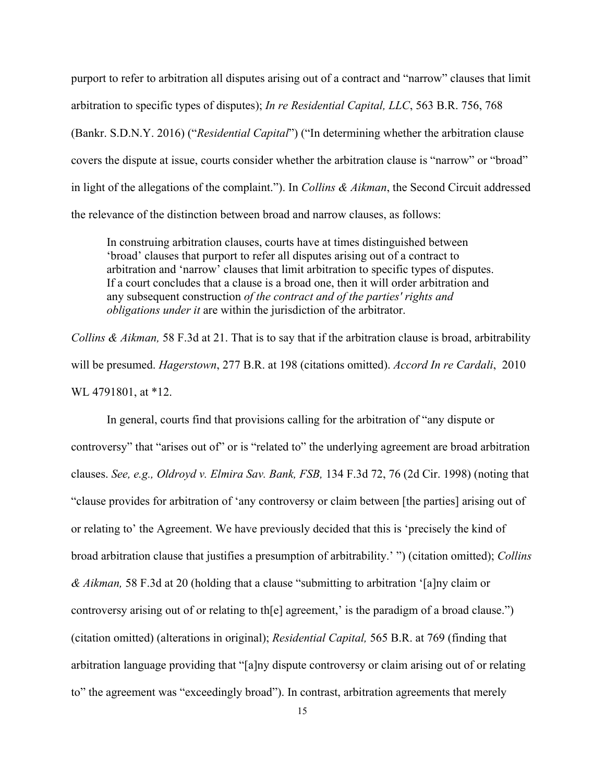purport to refer to arbitration all disputes arising out of a contract and "narrow" clauses that limit arbitration to specific types of disputes); *In re Residential Capital, LLC*, 563 B.R. 756, 768 (Bankr. S.D.N.Y. 2016) ("*Residential Capital*") ("In determining whether the arbitration clause covers the dispute at issue, courts consider whether the arbitration clause is "narrow" or "broad" in light of the allegations of the complaint."). In *Collins & Aikman*, the Second Circuit addressed the relevance of the distinction between broad and narrow clauses, as follows:

In construing arbitration clauses, courts have at times distinguished between 'broad' clauses that purport to refer all disputes arising out of a contract to arbitration and 'narrow' clauses that limit arbitration to specific types of disputes. If a court concludes that a clause is a broad one, then it will order arbitration and any subsequent construction *of the contract and of the parties' rights and obligations under it* are within the jurisdiction of the arbitrator.

*Collins & Aikman,* 58 F.3d at 21. That is to say that if the arbitration clause is broad, arbitrability will be presumed. *Hagerstown*, 277 B.R. at 198 (citations omitted). *Accord In re Cardali*, 2010 WL 4791801, at \*12.

 In general, courts find that provisions calling for the arbitration of "any dispute or controversy" that "arises out of" or is "related to" the underlying agreement are broad arbitration clauses. *See, e.g., Oldroyd v. Elmira Sav. Bank, FSB,* 134 F.3d 72, 76 (2d Cir. 1998) (noting that "clause provides for arbitration of 'any controversy or claim between [the parties] arising out of or relating to' the Agreement. We have previously decided that this is 'precisely the kind of broad arbitration clause that justifies a presumption of arbitrability.' ") (citation omitted); *Collins & Aikman,* 58 F.3d at 20 (holding that a clause "submitting to arbitration '[a]ny claim or controversy arising out of or relating to the agreement, is the paradigm of a broad clause.") (citation omitted) (alterations in original); *Residential Capital,* 565 B.R. at 769 (finding that arbitration language providing that "[a]ny dispute controversy or claim arising out of or relating to" the agreement was "exceedingly broad"). In contrast, arbitration agreements that merely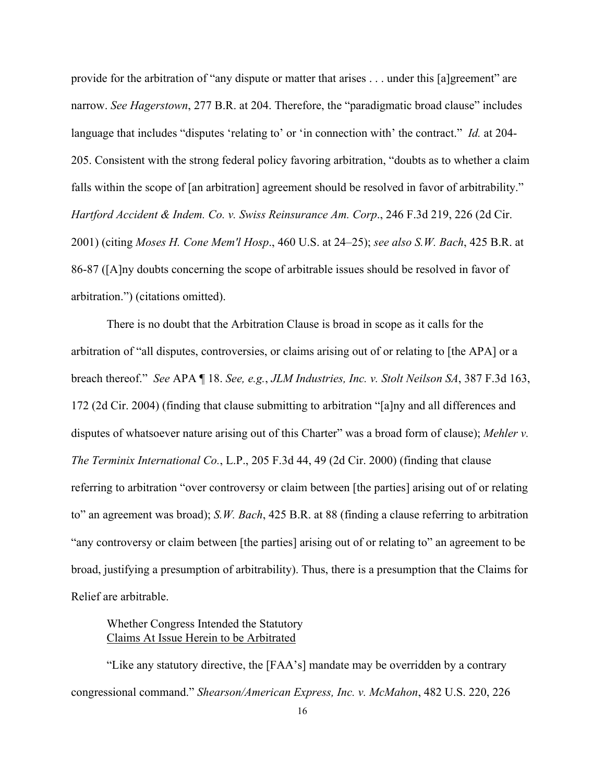provide for the arbitration of "any dispute or matter that arises . . . under this [a]greement" are narrow. *See Hagerstown*, 277 B.R. at 204. Therefore, the "paradigmatic broad clause" includes language that includes "disputes 'relating to' or 'in connection with' the contract." *Id.* at 204- 205. Consistent with the strong federal policy favoring arbitration, "doubts as to whether a claim falls within the scope of [an arbitration] agreement should be resolved in favor of arbitrability." *Hartford Accident & Indem. Co. v. Swiss Reinsurance Am. Corp*., 246 F.3d 219, 226 (2d Cir. 2001) (citing *Moses H. Cone Mem'l Hosp*., 460 U.S. at 24–25); *see also S.W. Bach*, 425 B.R. at 86-87 ([A]ny doubts concerning the scope of arbitrable issues should be resolved in favor of arbitration.") (citations omitted).

 There is no doubt that the Arbitration Clause is broad in scope as it calls for the arbitration of "all disputes, controversies, or claims arising out of or relating to [the APA] or a breach thereof." *See* APA ¶ 18. *See, e.g.*, *JLM Industries, Inc. v. Stolt Neilson SA*, 387 F.3d 163, 172 (2d Cir. 2004) (finding that clause submitting to arbitration "[a]ny and all differences and disputes of whatsoever nature arising out of this Charter" was a broad form of clause); *Mehler v. The Terminix International Co.*, L.P., 205 F.3d 44, 49 (2d Cir. 2000) (finding that clause referring to arbitration "over controversy or claim between [the parties] arising out of or relating to" an agreement was broad); *S.W. Bach*, 425 B.R. at 88 (finding a clause referring to arbitration "any controversy or claim between [the parties] arising out of or relating to" an agreement to be broad, justifying a presumption of arbitrability). Thus, there is a presumption that the Claims for Relief are arbitrable.

Whether Congress Intended the Statutory Claims At Issue Herein to be Arbitrated

 "Like any statutory directive, the [FAA's] mandate may be overridden by a contrary congressional command." *Shearson/American Express, Inc. v. McMahon*, 482 U.S. 220, 226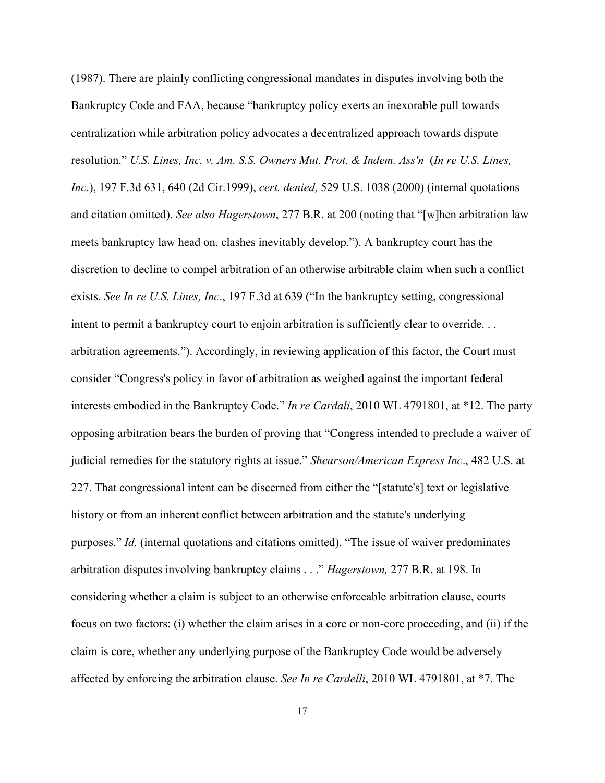(1987). There are plainly conflicting congressional mandates in disputes involving both the Bankruptcy Code and FAA, because "bankruptcy policy exerts an inexorable pull towards centralization while arbitration policy advocates a decentralized approach towards dispute resolution." *U.S. Lines, Inc. v. Am. S.S. Owners Mut. Prot. & Indem. Ass'n* (*In re U.S. Lines, Inc*.), 197 F.3d 631, 640 (2d Cir.1999), *cert. denied,* 529 U.S. 1038 (2000) (internal quotations and citation omitted). *See also Hagerstown*, 277 B.R. at 200 (noting that "[w]hen arbitration law meets bankruptcy law head on, clashes inevitably develop."). A bankruptcy court has the discretion to decline to compel arbitration of an otherwise arbitrable claim when such a conflict exists. *See In re U.S. Lines, Inc*., 197 F.3d at 639 ("In the bankruptcy setting, congressional intent to permit a bankruptcy court to enjoin arbitration is sufficiently clear to override. . . arbitration agreements."). Accordingly, in reviewing application of this factor, the Court must consider "Congress's policy in favor of arbitration as weighed against the important federal interests embodied in the Bankruptcy Code." *In re Cardali*, 2010 WL 4791801, at \*12. The party opposing arbitration bears the burden of proving that "Congress intended to preclude a waiver of judicial remedies for the statutory rights at issue." *Shearson/American Express Inc*., 482 U.S. at 227. That congressional intent can be discerned from either the "[statute's] text or legislative history or from an inherent conflict between arbitration and the statute's underlying purposes." *Id.* (internal quotations and citations omitted). "The issue of waiver predominates arbitration disputes involving bankruptcy claims . . ." *Hagerstown,* 277 B.R. at 198. In considering whether a claim is subject to an otherwise enforceable arbitration clause, courts focus on two factors: (i) whether the claim arises in a core or non-core proceeding, and (ii) if the claim is core, whether any underlying purpose of the Bankruptcy Code would be adversely affected by enforcing the arbitration clause. *See In re Cardelli*, 2010 WL 4791801, at \*7. The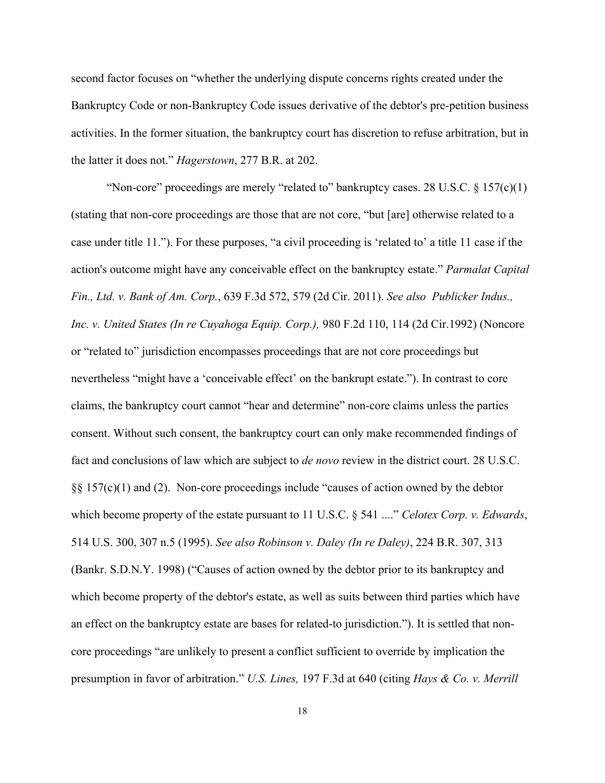second factor focuses on "whether the underlying dispute concerns rights created under the Bankruptcy Code or non-Bankruptcy Code issues derivative of the debtor's pre-petition business activities. In the former situation, the bankruptcy court has discretion to refuse arbitration, but in the latter it does not." *Hagerstown*, 277 B.R. at 202.

"Non-core" proceedings are merely "related to" bankruptcy cases. 28 U.S.C.  $\S 157(c)(1)$ (stating that non-core proceedings are those that are not core, "but [are] otherwise related to a case under title 11."). For these purposes, "a civil proceeding is 'related to' a title 11 case if the action's outcome might have any conceivable effect on the bankruptcy estate." *Parmalat Capital Fin., Ltd. v. Bank of Am. Corp.*, 639 F.3d 572, 579 (2d Cir. 2011). *See also Publicker Indus., Inc. v. United States (In re Cuyahoga Equip. Corp.),* 980 F.2d 110, 114 (2d Cir.1992) (Noncore or "related to" jurisdiction encompasses proceedings that are not core proceedings but nevertheless "might have a 'conceivable effect' on the bankrupt estate."). In contrast to core claims, the bankruptcy court cannot "hear and determine" non-core claims unless the parties consent. Without such consent, the bankruptcy court can only make recommended findings of fact and conclusions of law which are subject to *de novo* review in the district court. 28 U.S.C. §§ 157(c)(1) and (2). Non-core proceedings include "causes of action owned by the debtor which become property of the estate pursuant to 11 U.S.C. § 541 ...." *Celotex Corp. v. Edwards*, 514 U.S. 300, 307 n.5 (1995). *See also Robinson v. Daley (In re Daley)*, 224 B.R. 307, 313 (Bankr. S.D.N.Y. 1998) ("Causes of action owned by the debtor prior to its bankruptcy and which become property of the debtor's estate, as well as suits between third parties which have an effect on the bankruptcy estate are bases for related-to jurisdiction."). It is settled that noncore proceedings "are unlikely to present a conflict sufficient to override by implication the presumption in favor of arbitration." *U.S. Lines,* 197 F.3d at 640 (citing *Hays & Co. v. Merrill*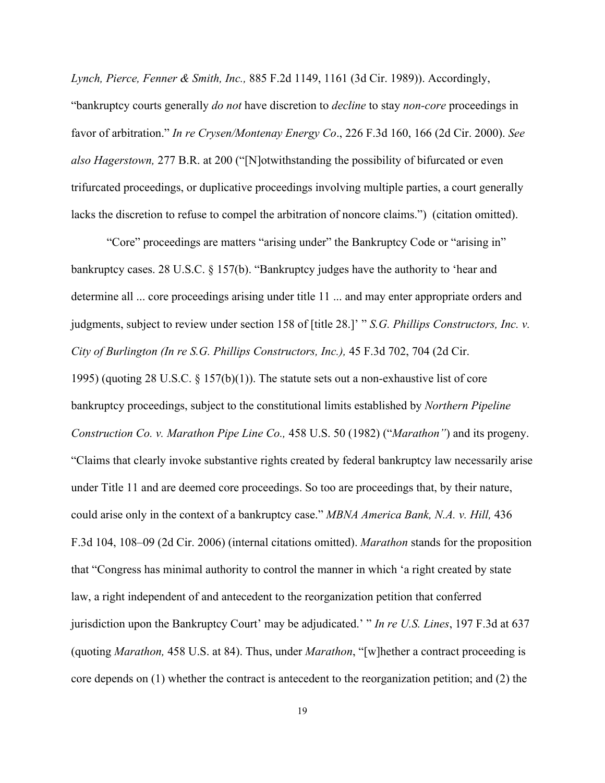*Lynch, Pierce, Fenner & Smith, Inc.,* 885 F.2d 1149, 1161 (3d Cir. 1989)). Accordingly, "bankruptcy courts generally *do not* have discretion to *decline* to stay *non-core* proceedings in favor of arbitration." *In re Crysen/Montenay Energy Co*., 226 F.3d 160, 166 (2d Cir. 2000). *See also Hagerstown,* 277 B.R. at 200 ("[N]otwithstanding the possibility of bifurcated or even trifurcated proceedings, or duplicative proceedings involving multiple parties, a court generally lacks the discretion to refuse to compel the arbitration of noncore claims.") (citation omitted).

 "Core" proceedings are matters "arising under" the Bankruptcy Code or "arising in" bankruptcy cases. 28 U.S.C. § 157(b). "Bankruptcy judges have the authority to 'hear and determine all ... core proceedings arising under title 11 ... and may enter appropriate orders and judgments, subject to review under section 158 of [title 28.]' " *S.G. Phillips Constructors, Inc. v. City of Burlington (In re S.G. Phillips Constructors, Inc.),* 45 F.3d 702, 704 (2d Cir. 1995) (quoting 28 U.S.C.  $\S$  157(b)(1)). The statute sets out a non-exhaustive list of core bankruptcy proceedings, subject to the constitutional limits established by *Northern Pipeline Construction Co. v. Marathon Pipe Line Co.,* 458 U.S. 50 (1982) ("*Marathon"*) and its progeny. "Claims that clearly invoke substantive rights created by federal bankruptcy law necessarily arise under Title 11 and are deemed core proceedings. So too are proceedings that, by their nature, could arise only in the context of a bankruptcy case." *MBNA America Bank, N.A. v. Hill,* 436 F.3d 104, 108–09 (2d Cir. 2006) (internal citations omitted). *Marathon* stands for the proposition that "Congress has minimal authority to control the manner in which 'a right created by state law, a right independent of and antecedent to the reorganization petition that conferred jurisdiction upon the Bankruptcy Court' may be adjudicated.' " *In re U.S. Lines*, 197 F.3d at 637 (quoting *Marathon,* 458 U.S. at 84). Thus, under *Marathon*, "[w]hether a contract proceeding is core depends on (1) whether the contract is antecedent to the reorganization petition; and (2) the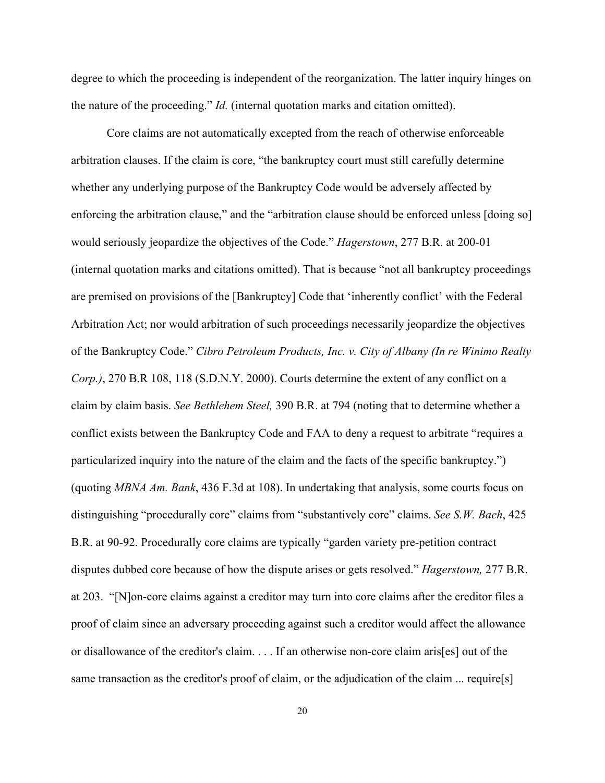degree to which the proceeding is independent of the reorganization. The latter inquiry hinges on the nature of the proceeding." *Id.* (internal quotation marks and citation omitted).

 Core claims are not automatically excepted from the reach of otherwise enforceable arbitration clauses. If the claim is core, "the bankruptcy court must still carefully determine whether any underlying purpose of the Bankruptcy Code would be adversely affected by enforcing the arbitration clause," and the "arbitration clause should be enforced unless [doing so] would seriously jeopardize the objectives of the Code." *Hagerstown*, 277 B.R. at 200-01 (internal quotation marks and citations omitted). That is because "not all bankruptcy proceedings are premised on provisions of the [Bankruptcy] Code that 'inherently conflict' with the Federal Arbitration Act; nor would arbitration of such proceedings necessarily jeopardize the objectives of the Bankruptcy Code." *Cibro Petroleum Products, Inc. v. City of Albany (In re Winimo Realty Corp.)*, 270 B.R 108, 118 (S.D.N.Y. 2000). Courts determine the extent of any conflict on a claim by claim basis. *See Bethlehem Steel,* 390 B.R. at 794 (noting that to determine whether a conflict exists between the Bankruptcy Code and FAA to deny a request to arbitrate "requires a particularized inquiry into the nature of the claim and the facts of the specific bankruptcy.") (quoting *MBNA Am. Bank*, 436 F.3d at 108). In undertaking that analysis, some courts focus on distinguishing "procedurally core" claims from "substantively core" claims. *See S.W. Bach*, 425 B.R. at 90-92. Procedurally core claims are typically "garden variety pre-petition contract disputes dubbed core because of how the dispute arises or gets resolved." *Hagerstown,* 277 B.R. at 203. "[N]on-core claims against a creditor may turn into core claims after the creditor files a proof of claim since an adversary proceeding against such a creditor would affect the allowance or disallowance of the creditor's claim. . . . If an otherwise non-core claim aris[es] out of the same transaction as the creditor's proof of claim, or the adjudication of the claim ... require[s]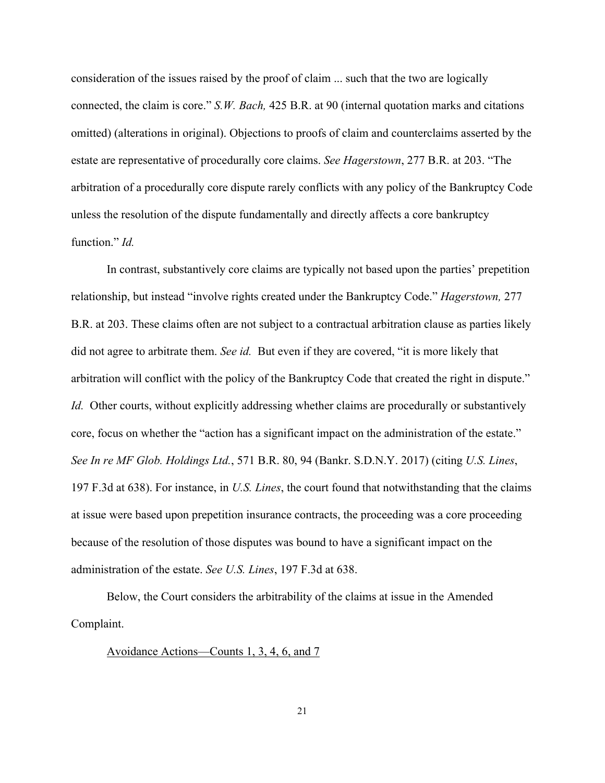consideration of the issues raised by the proof of claim ... such that the two are logically connected, the claim is core." *S.W. Bach,* 425 B.R. at 90 (internal quotation marks and citations omitted) (alterations in original). Objections to proofs of claim and counterclaims asserted by the estate are representative of procedurally core claims. *See Hagerstown*, 277 B.R. at 203. "The arbitration of a procedurally core dispute rarely conflicts with any policy of the Bankruptcy Code unless the resolution of the dispute fundamentally and directly affects a core bankruptcy function." *Id.* 

In contrast, substantively core claims are typically not based upon the parties' prepetition relationship, but instead "involve rights created under the Bankruptcy Code." *Hagerstown,* 277 B.R. at 203. These claims often are not subject to a contractual arbitration clause as parties likely did not agree to arbitrate them. *See id.* But even if they are covered, "it is more likely that arbitration will conflict with the policy of the Bankruptcy Code that created the right in dispute." *Id.* Other courts, without explicitly addressing whether claims are procedurally or substantively core, focus on whether the "action has a significant impact on the administration of the estate." *See In re MF Glob. Holdings Ltd.*, 571 B.R. 80, 94 (Bankr. S.D.N.Y. 2017) (citing *U.S. Lines*, 197 F.3d at 638). For instance, in *U.S. Lines*, the court found that notwithstanding that the claims at issue were based upon prepetition insurance contracts, the proceeding was a core proceeding because of the resolution of those disputes was bound to have a significant impact on the administration of the estate. *See U.S. Lines*, 197 F.3d at 638.

 Below, the Court considers the arbitrability of the claims at issue in the Amended Complaint.

Avoidance Actions—Counts 1, 3, 4, 6, and 7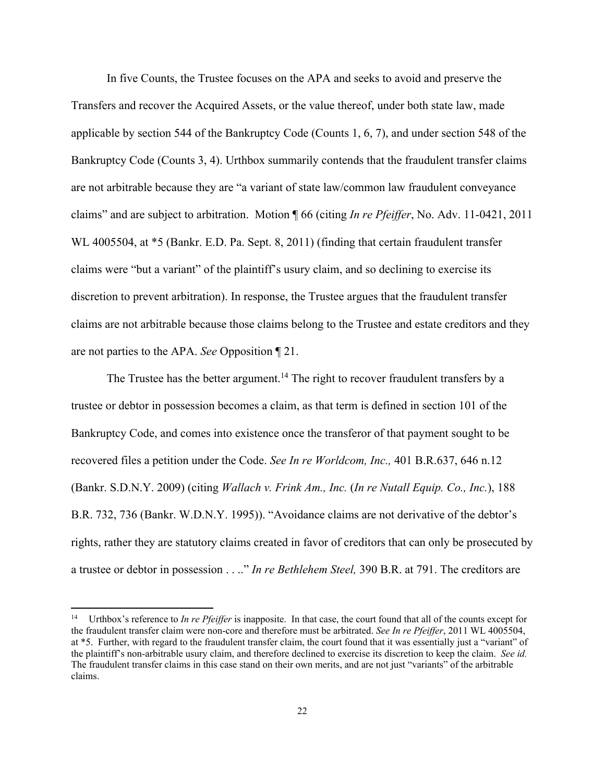In five Counts, the Trustee focuses on the APA and seeks to avoid and preserve the Transfers and recover the Acquired Assets, or the value thereof, under both state law, made applicable by section 544 of the Bankruptcy Code (Counts 1, 6, 7), and under section 548 of the Bankruptcy Code (Counts 3, 4). Urthbox summarily contends that the fraudulent transfer claims are not arbitrable because they are "a variant of state law/common law fraudulent conveyance claims" and are subject to arbitration. Motion ¶ 66 (citing *In re Pfeiffer*, No. Adv. 11-0421, 2011 WL 4005504, at \*5 (Bankr. E.D. Pa. Sept. 8, 2011) (finding that certain fraudulent transfer claims were "but a variant" of the plaintiff's usury claim, and so declining to exercise its discretion to prevent arbitration). In response, the Trustee argues that the fraudulent transfer claims are not arbitrable because those claims belong to the Trustee and estate creditors and they are not parties to the APA. *See* Opposition ¶ 21.

The Trustee has the better argument.<sup>14</sup> The right to recover fraudulent transfers by a trustee or debtor in possession becomes a claim, as that term is defined in section 101 of the Bankruptcy Code, and comes into existence once the transferor of that payment sought to be recovered files a petition under the Code. *See In re Worldcom, Inc.,* 401 B.R.637, 646 n.12 (Bankr. S.D.N.Y. 2009) (citing *Wallach v. Frink Am., Inc.* (*In re Nutall Equip. Co., Inc.*), 188 B.R. 732, 736 (Bankr. W.D.N.Y. 1995)). "Avoidance claims are not derivative of the debtor's rights, rather they are statutory claims created in favor of creditors that can only be prosecuted by a trustee or debtor in possession . . .." *In re Bethlehem Steel,* 390 B.R. at 791. The creditors are

<sup>14</sup> Urthbox's reference to *In re Pfeiffer* is inapposite. In that case, the court found that all of the counts except for the fraudulent transfer claim were non-core and therefore must be arbitrated. *See In re Pfeiffer*, 2011 WL 4005504, at \*5. Further, with regard to the fraudulent transfer claim, the court found that it was essentially just a "variant" of the plaintiff's non-arbitrable usury claim, and therefore declined to exercise its discretion to keep the claim. *See id.* The fraudulent transfer claims in this case stand on their own merits, and are not just "variants" of the arbitrable claims.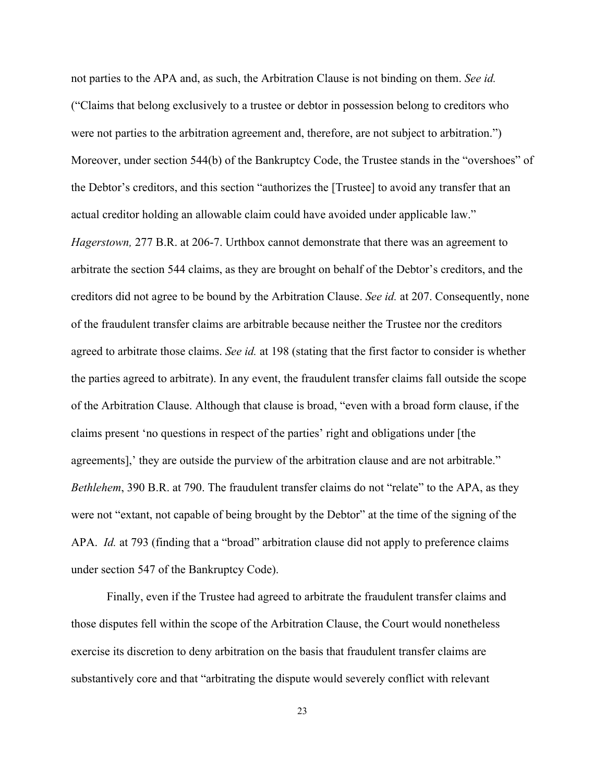not parties to the APA and, as such, the Arbitration Clause is not binding on them. *See id.* ("Claims that belong exclusively to a trustee or debtor in possession belong to creditors who were not parties to the arbitration agreement and, therefore, are not subject to arbitration.") Moreover, under section 544(b) of the Bankruptcy Code, the Trustee stands in the "overshoes" of the Debtor's creditors, and this section "authorizes the [Trustee] to avoid any transfer that an actual creditor holding an allowable claim could have avoided under applicable law." *Hagerstown,* 277 B.R. at 206-7. Urthbox cannot demonstrate that there was an agreement to arbitrate the section 544 claims, as they are brought on behalf of the Debtor's creditors, and the creditors did not agree to be bound by the Arbitration Clause. *See id.* at 207. Consequently, none of the fraudulent transfer claims are arbitrable because neither the Trustee nor the creditors agreed to arbitrate those claims. *See id.* at 198 (stating that the first factor to consider is whether the parties agreed to arbitrate). In any event, the fraudulent transfer claims fall outside the scope of the Arbitration Clause. Although that clause is broad, "even with a broad form clause, if the claims present 'no questions in respect of the parties' right and obligations under [the agreements],' they are outside the purview of the arbitration clause and are not arbitrable." *Bethlehem*, 390 B.R. at 790. The fraudulent transfer claims do not "relate" to the APA, as they were not "extant, not capable of being brought by the Debtor" at the time of the signing of the APA. *Id.* at 793 (finding that a "broad" arbitration clause did not apply to preference claims under section 547 of the Bankruptcy Code).

Finally, even if the Trustee had agreed to arbitrate the fraudulent transfer claims and those disputes fell within the scope of the Arbitration Clause, the Court would nonetheless exercise its discretion to deny arbitration on the basis that fraudulent transfer claims are substantively core and that "arbitrating the dispute would severely conflict with relevant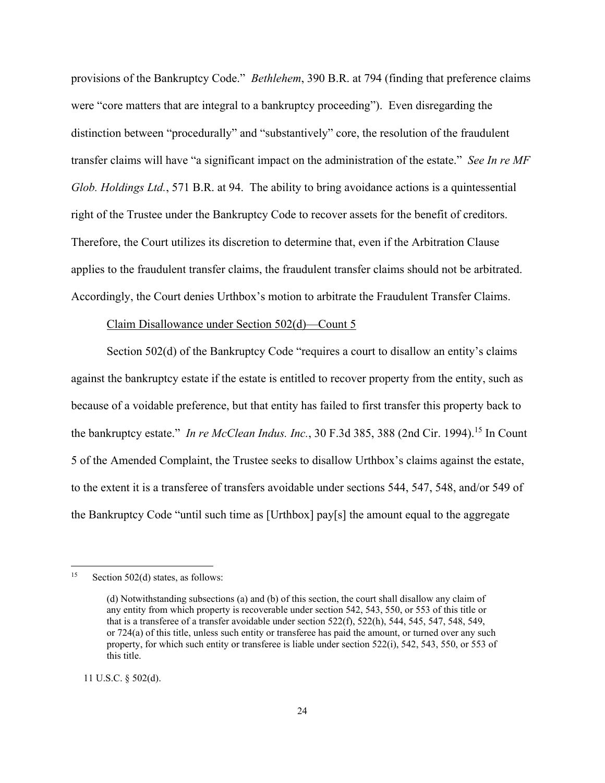provisions of the Bankruptcy Code." *Bethlehem*, 390 B.R. at 794 (finding that preference claims were "core matters that are integral to a bankruptcy proceeding"). Even disregarding the distinction between "procedurally" and "substantively" core, the resolution of the fraudulent transfer claims will have "a significant impact on the administration of the estate." *See In re MF Glob. Holdings Ltd.*, 571 B.R. at 94. The ability to bring avoidance actions is a quintessential right of the Trustee under the Bankruptcy Code to recover assets for the benefit of creditors. Therefore, the Court utilizes its discretion to determine that, even if the Arbitration Clause applies to the fraudulent transfer claims, the fraudulent transfer claims should not be arbitrated. Accordingly, the Court denies Urthbox's motion to arbitrate the Fraudulent Transfer Claims.

#### Claim Disallowance under Section 502(d)—Count 5

Section 502(d) of the Bankruptcy Code "requires a court to disallow an entity's claims against the bankruptcy estate if the estate is entitled to recover property from the entity, such as because of a voidable preference, but that entity has failed to first transfer this property back to the bankruptcy estate." *In re McClean Indus. Inc.*, 30 F.3d 385, 388 (2nd Cir. 1994).<sup>15</sup> In Count 5 of the Amended Complaint, the Trustee seeks to disallow Urthbox's claims against the estate, to the extent it is a transferee of transfers avoidable under sections 544, 547, 548, and/or 549 of the Bankruptcy Code "until such time as [Urthbox] pay[s] the amount equal to the aggregate

11 U.S.C. § 502(d).

<sup>15</sup> Section 502(d) states, as follows:

<sup>(</sup>d) Notwithstanding subsections (a) and (b) of this section, the court shall disallow any claim of any entity from which property is recoverable under section 542, 543, 550, or 553 of this title or that is a transferee of a transfer avoidable under section 522(f), 522(h), 544, 545, 547, 548, 549, or 724(a) of this title, unless such entity or transferee has paid the amount, or turned over any such property, for which such entity or transferee is liable under section 522(i), 542, 543, 550, or 553 of this title.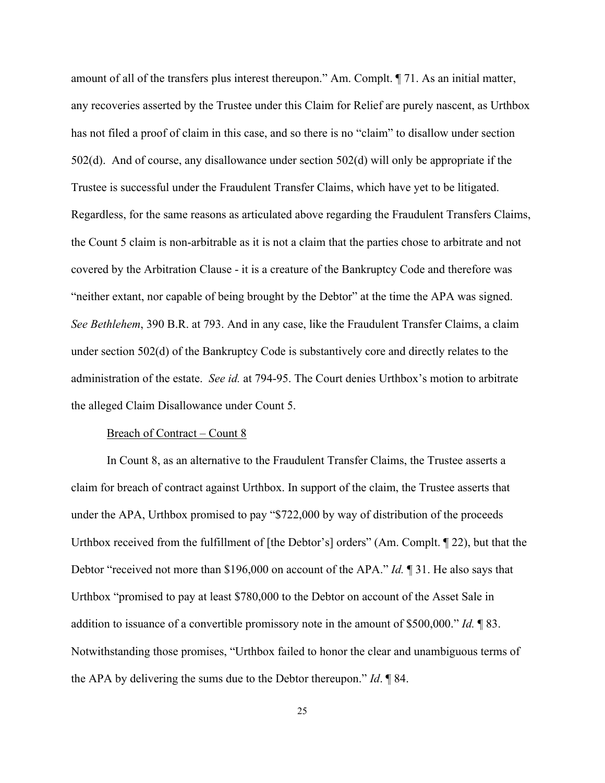amount of all of the transfers plus interest thereupon." Am. Complt. ¶ 71. As an initial matter, any recoveries asserted by the Trustee under this Claim for Relief are purely nascent, as Urthbox has not filed a proof of claim in this case, and so there is no "claim" to disallow under section 502(d). And of course, any disallowance under section 502(d) will only be appropriate if the Trustee is successful under the Fraudulent Transfer Claims, which have yet to be litigated. Regardless, for the same reasons as articulated above regarding the Fraudulent Transfers Claims, the Count 5 claim is non-arbitrable as it is not a claim that the parties chose to arbitrate and not covered by the Arbitration Clause - it is a creature of the Bankruptcy Code and therefore was "neither extant, nor capable of being brought by the Debtor" at the time the APA was signed. *See Bethlehem*, 390 B.R. at 793. And in any case, like the Fraudulent Transfer Claims, a claim under section 502(d) of the Bankruptcy Code is substantively core and directly relates to the administration of the estate. *See id.* at 794-95. The Court denies Urthbox's motion to arbitrate the alleged Claim Disallowance under Count 5.

#### Breach of Contract – Count 8

In Count 8, as an alternative to the Fraudulent Transfer Claims, the Trustee asserts a claim for breach of contract against Urthbox. In support of the claim, the Trustee asserts that under the APA, Urthbox promised to pay "\$722,000 by way of distribution of the proceeds Urthbox received from the fulfillment of [the Debtor's] orders" (Am. Complt. ¶ 22), but that the Debtor "received not more than \$196,000 on account of the APA." *Id.* ¶ 31. He also says that Urthbox "promised to pay at least \$780,000 to the Debtor on account of the Asset Sale in addition to issuance of a convertible promissory note in the amount of \$500,000." *Id.* ¶ 83. Notwithstanding those promises, "Urthbox failed to honor the clear and unambiguous terms of the APA by delivering the sums due to the Debtor thereupon." *Id*. ¶ 84.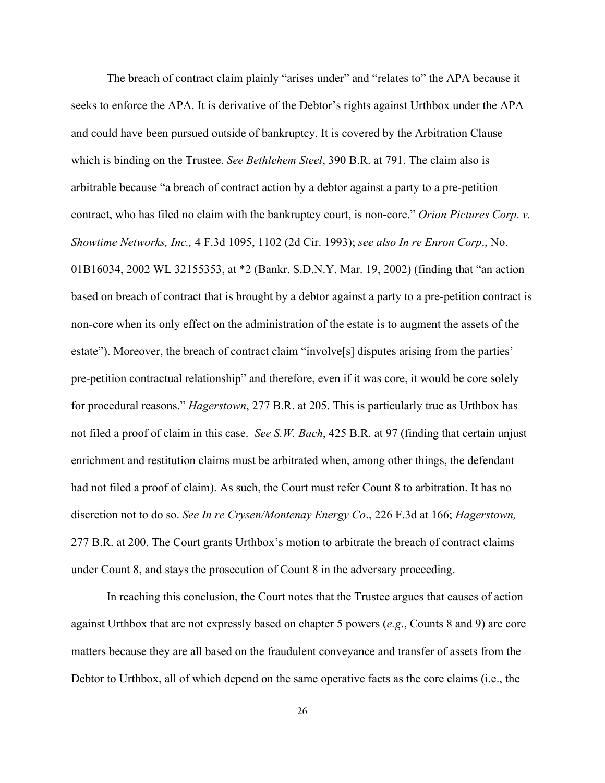The breach of contract claim plainly "arises under" and "relates to" the APA because it seeks to enforce the APA. It is derivative of the Debtor's rights against Urthbox under the APA and could have been pursued outside of bankruptcy. It is covered by the Arbitration Clause – which is binding on the Trustee. *See Bethlehem Steel*, 390 B.R. at 791. The claim also is arbitrable because "a breach of contract action by a debtor against a party to a pre-petition contract, who has filed no claim with the bankruptcy court, is non-core." *Orion Pictures Corp. v. Showtime Networks, Inc.,* 4 F.3d 1095, 1102 (2d Cir. 1993); *see also In re Enron Corp*., No. 01B16034, 2002 WL 32155353, at \*2 (Bankr. S.D.N.Y. Mar. 19, 2002) (finding that "an action based on breach of contract that is brought by a debtor against a party to a pre-petition contract is non-core when its only effect on the administration of the estate is to augment the assets of the estate"). Moreover, the breach of contract claim "involve[s] disputes arising from the parties' pre-petition contractual relationship" and therefore, even if it was core, it would be core solely for procedural reasons." *Hagerstown*, 277 B.R. at 205. This is particularly true as Urthbox has not filed a proof of claim in this case. *See S.W. Bach*, 425 B.R. at 97 (finding that certain unjust enrichment and restitution claims must be arbitrated when, among other things, the defendant had not filed a proof of claim). As such, the Court must refer Count 8 to arbitration. It has no discretion not to do so. *See In re Crysen/Montenay Energy Co*., 226 F.3d at 166; *Hagerstown,* 277 B.R. at 200. The Court grants Urthbox's motion to arbitrate the breach of contract claims under Count 8, and stays the prosecution of Count 8 in the adversary proceeding.

 In reaching this conclusion, the Court notes that the Trustee argues that causes of action against Urthbox that are not expressly based on chapter 5 powers (*e.g*., Counts 8 and 9) are core matters because they are all based on the fraudulent conveyance and transfer of assets from the Debtor to Urthbox, all of which depend on the same operative facts as the core claims (i.e., the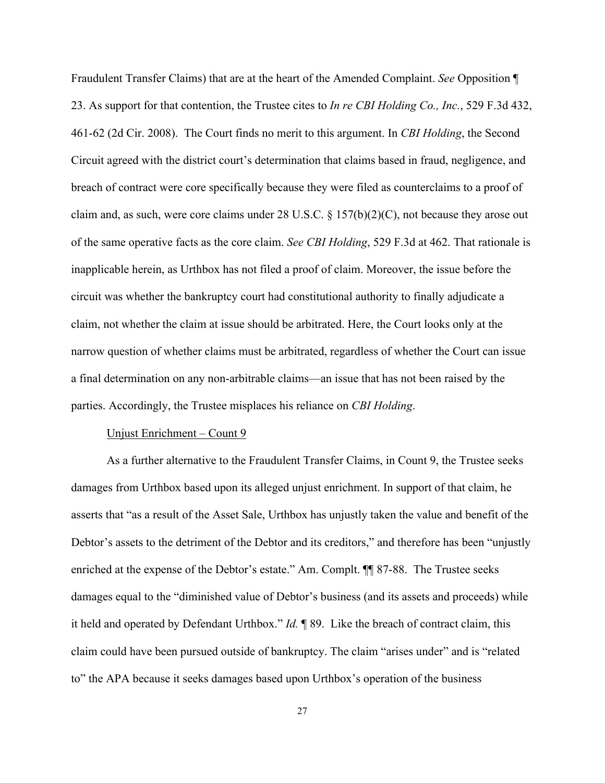Fraudulent Transfer Claims) that are at the heart of the Amended Complaint. *See* Opposition ¶ 23. As support for that contention, the Trustee cites to *In re CBI Holding Co., Inc.*, 529 F.3d 432, 461-62 (2d Cir. 2008). The Court finds no merit to this argument. In *CBI Holding*, the Second Circuit agreed with the district court's determination that claims based in fraud, negligence, and breach of contract were core specifically because they were filed as counterclaims to a proof of claim and, as such, were core claims under 28 U.S.C. § 157(b)(2)(C), not because they arose out of the same operative facts as the core claim. *See CBI Holding*, 529 F.3d at 462. That rationale is inapplicable herein, as Urthbox has not filed a proof of claim. Moreover, the issue before the circuit was whether the bankruptcy court had constitutional authority to finally adjudicate a claim, not whether the claim at issue should be arbitrated. Here, the Court looks only at the narrow question of whether claims must be arbitrated, regardless of whether the Court can issue a final determination on any non-arbitrable claims—an issue that has not been raised by the parties. Accordingly, the Trustee misplaces his reliance on *CBI Holding*.

#### Unjust Enrichment – Count 9

As a further alternative to the Fraudulent Transfer Claims, in Count 9, the Trustee seeks damages from Urthbox based upon its alleged unjust enrichment. In support of that claim, he asserts that "as a result of the Asset Sale, Urthbox has unjustly taken the value and benefit of the Debtor's assets to the detriment of the Debtor and its creditors," and therefore has been "unjustly enriched at the expense of the Debtor's estate." Am. Complt. ¶¶ 87-88. The Trustee seeks damages equal to the "diminished value of Debtor's business (and its assets and proceeds) while it held and operated by Defendant Urthbox." *Id.* ¶ 89. Like the breach of contract claim, this claim could have been pursued outside of bankruptcy. The claim "arises under" and is "related to" the APA because it seeks damages based upon Urthbox's operation of the business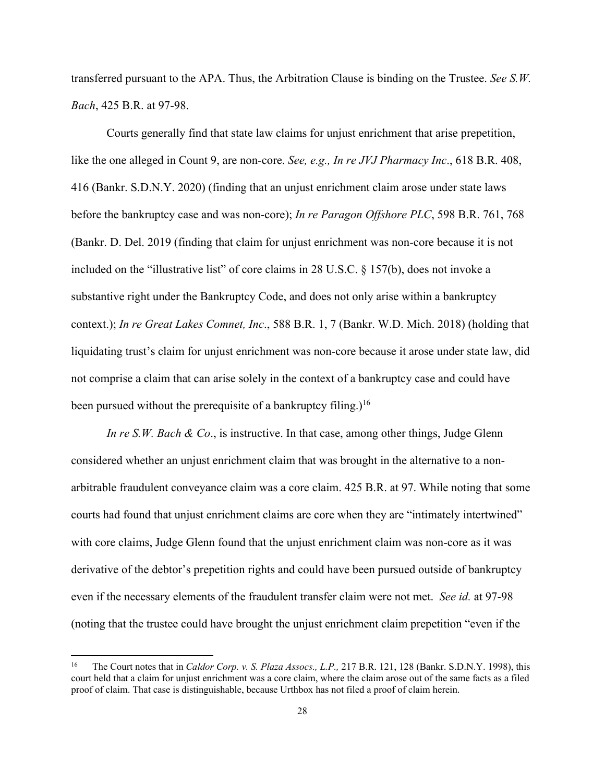transferred pursuant to the APA. Thus, the Arbitration Clause is binding on the Trustee. *See S.W. Bach*, 425 B.R. at 97-98.

 Courts generally find that state law claims for unjust enrichment that arise prepetition, like the one alleged in Count 9, are non-core. *See, e.g., In re JVJ Pharmacy Inc*., 618 B.R. 408, 416 (Bankr. S.D.N.Y. 2020) (finding that an unjust enrichment claim arose under state laws before the bankruptcy case and was non-core); *In re Paragon Offshore PLC*, 598 B.R. 761, 768 (Bankr. D. Del. 2019 (finding that claim for unjust enrichment was non-core because it is not included on the "illustrative list" of core claims in 28 U.S.C. § 157(b), does not invoke a substantive right under the Bankruptcy Code, and does not only arise within a bankruptcy context.); *In re Great Lakes Comnet, Inc*., 588 B.R. 1, 7 (Bankr. W.D. Mich. 2018) (holding that liquidating trust's claim for unjust enrichment was non-core because it arose under state law, did not comprise a claim that can arise solely in the context of a bankruptcy case and could have been pursued without the prerequisite of a bankruptcy filing.)<sup>16</sup>

*In re S.W. Bach & Co.*, is instructive. In that case, among other things, Judge Glenn considered whether an unjust enrichment claim that was brought in the alternative to a nonarbitrable fraudulent conveyance claim was a core claim. 425 B.R. at 97. While noting that some courts had found that unjust enrichment claims are core when they are "intimately intertwined" with core claims, Judge Glenn found that the unjust enrichment claim was non-core as it was derivative of the debtor's prepetition rights and could have been pursued outside of bankruptcy even if the necessary elements of the fraudulent transfer claim were not met. *See id.* at 97-98 (noting that the trustee could have brought the unjust enrichment claim prepetition "even if the

<sup>&</sup>lt;sup>16</sup> The Court notes that in *Caldor Corp. v. S. Plaza Assocs., L.P.*, 217 B.R. 121, 128 (Bankr. S.D.N.Y. 1998), this court held that a claim for unjust enrichment was a core claim, where the claim arose out of the same facts as a filed proof of claim. That case is distinguishable, because Urthbox has not filed a proof of claim herein.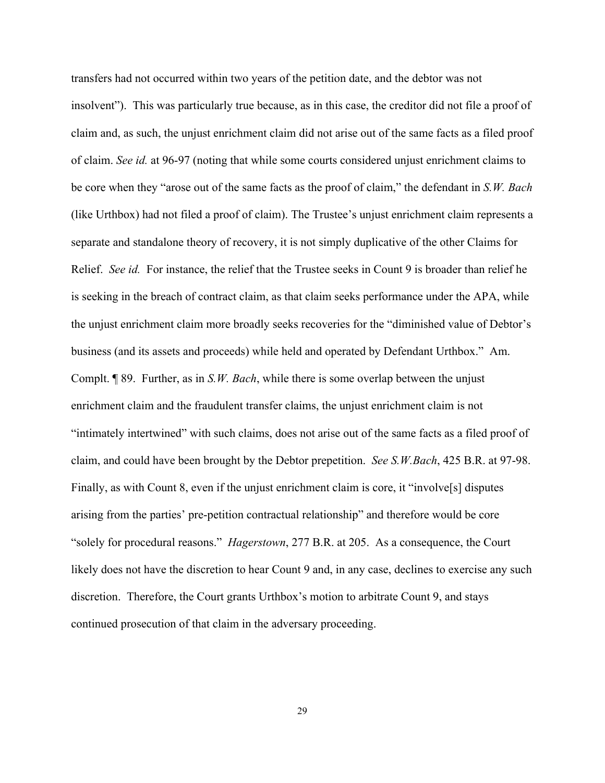transfers had not occurred within two years of the petition date, and the debtor was not insolvent"). This was particularly true because, as in this case, the creditor did not file a proof of claim and, as such, the unjust enrichment claim did not arise out of the same facts as a filed proof of claim. *See id.* at 96-97 (noting that while some courts considered unjust enrichment claims to be core when they "arose out of the same facts as the proof of claim," the defendant in *S.W. Bach* (like Urthbox) had not filed a proof of claim). The Trustee's unjust enrichment claim represents a separate and standalone theory of recovery, it is not simply duplicative of the other Claims for Relief. *See id.* For instance, the relief that the Trustee seeks in Count 9 is broader than relief he is seeking in the breach of contract claim, as that claim seeks performance under the APA, while the unjust enrichment claim more broadly seeks recoveries for the "diminished value of Debtor's business (and its assets and proceeds) while held and operated by Defendant Urthbox." Am. Complt. ¶ 89. Further, as in *S.W. Bach*, while there is some overlap between the unjust enrichment claim and the fraudulent transfer claims, the unjust enrichment claim is not "intimately intertwined" with such claims, does not arise out of the same facts as a filed proof of claim, and could have been brought by the Debtor prepetition. *See S.W.Bach*, 425 B.R. at 97-98. Finally, as with Count 8, even if the unjust enrichment claim is core, it "involve[s] disputes arising from the parties' pre-petition contractual relationship" and therefore would be core "solely for procedural reasons." *Hagerstown*, 277 B.R. at 205. As a consequence, the Court likely does not have the discretion to hear Count 9 and, in any case, declines to exercise any such discretion. Therefore, the Court grants Urthbox's motion to arbitrate Count 9, and stays continued prosecution of that claim in the adversary proceeding.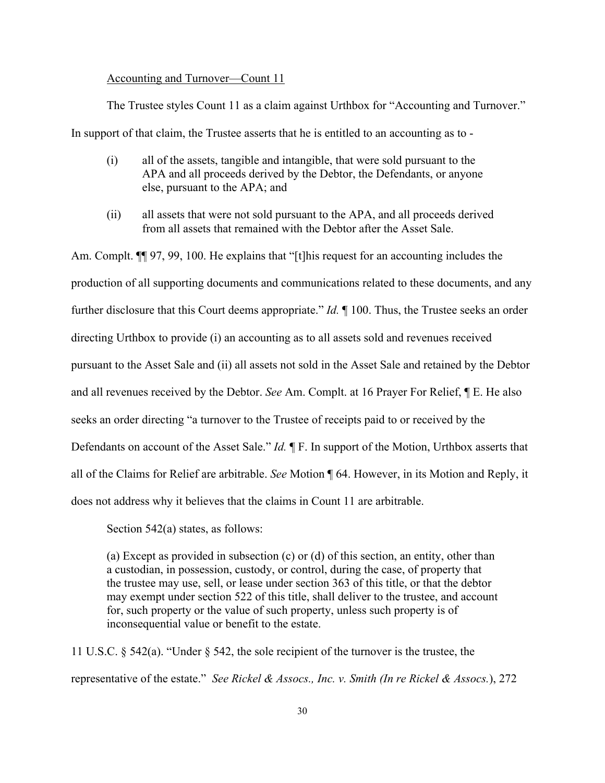## Accounting and Turnover—Count 11

The Trustee styles Count 11 as a claim against Urthbox for "Accounting and Turnover."

In support of that claim, the Trustee asserts that he is entitled to an accounting as to -

- (i) all of the assets, tangible and intangible, that were sold pursuant to the APA and all proceeds derived by the Debtor, the Defendants, or anyone else, pursuant to the APA; and
- (ii) all assets that were not sold pursuant to the APA, and all proceeds derived from all assets that remained with the Debtor after the Asset Sale.

Am. Complt.  $\P$  97, 99, 100. He explains that "[t]his request for an accounting includes the production of all supporting documents and communications related to these documents, and any further disclosure that this Court deems appropriate." *Id.* ¶ 100. Thus, the Trustee seeks an order directing Urthbox to provide (i) an accounting as to all assets sold and revenues received pursuant to the Asset Sale and (ii) all assets not sold in the Asset Sale and retained by the Debtor and all revenues received by the Debtor. *See* Am. Complt. at 16 Prayer For Relief, ¶ E. He also seeks an order directing "a turnover to the Trustee of receipts paid to or received by the Defendants on account of the Asset Sale." *Id.* ¶ F. In support of the Motion, Urthbox asserts that all of the Claims for Relief are arbitrable. *See* Motion ¶ 64. However, in its Motion and Reply, it does not address why it believes that the claims in Count 11 are arbitrable.

Section 542(a) states, as follows:

(a) Except as provided in subsection (c) or (d) of this section, an entity, other than a custodian, in possession, custody, or control, during the case, of property that the trustee may use, sell, or lease under section 363 of this title, or that the debtor may exempt under section 522 of this title, shall deliver to the trustee, and account for, such property or the value of such property, unless such property is of inconsequential value or benefit to the estate.

11 U.S.C. § 542(a). "Under § 542, the sole recipient of the turnover is the trustee, the representative of the estate." *See Rickel & Assocs., Inc. v. Smith (In re Rickel & Assocs.*), 272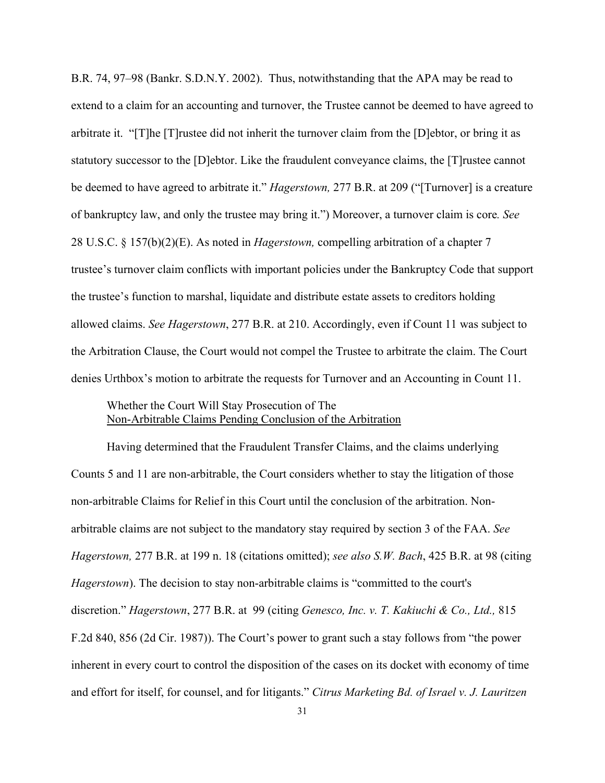B.R. 74, 97–98 (Bankr. S.D.N.Y. 2002). Thus, notwithstanding that the APA may be read to extend to a claim for an accounting and turnover, the Trustee cannot be deemed to have agreed to arbitrate it. "[T]he [T]rustee did not inherit the turnover claim from the [D]ebtor, or bring it as statutory successor to the [D]ebtor. Like the fraudulent conveyance claims, the [T]rustee cannot be deemed to have agreed to arbitrate it." *Hagerstown,* 277 B.R. at 209 ("[Turnover] is a creature of bankruptcy law, and only the trustee may bring it.") Moreover, a turnover claim is core*. See* 28 U.S.C. § 157(b)(2)(E). As noted in *Hagerstown,* compelling arbitration of a chapter 7 trustee's turnover claim conflicts with important policies under the Bankruptcy Code that support the trustee's function to marshal, liquidate and distribute estate assets to creditors holding allowed claims. *See Hagerstown*, 277 B.R. at 210. Accordingly, even if Count 11 was subject to the Arbitration Clause, the Court would not compel the Trustee to arbitrate the claim. The Court denies Urthbox's motion to arbitrate the requests for Turnover and an Accounting in Count 11.

# Whether the Court Will Stay Prosecution of The Non-Arbitrable Claims Pending Conclusion of the Arbitration

 Having determined that the Fraudulent Transfer Claims, and the claims underlying Counts 5 and 11 are non-arbitrable, the Court considers whether to stay the litigation of those non-arbitrable Claims for Relief in this Court until the conclusion of the arbitration. Nonarbitrable claims are not subject to the mandatory stay required by section 3 of the FAA. *See Hagerstown,* 277 B.R. at 199 n. 18 (citations omitted); *see also S.W. Bach*, 425 B.R. at 98 (citing *Hagerstown*). The decision to stay non-arbitrable claims is "committed to the court's discretion." *Hagerstown*, 277 B.R. at 99 (citing *Genesco, Inc. v. T. Kakiuchi & Co., Ltd.,* 815 F.2d 840, 856 (2d Cir. 1987)). The Court's power to grant such a stay follows from "the power inherent in every court to control the disposition of the cases on its docket with economy of time and effort for itself, for counsel, and for litigants." *Citrus Marketing Bd. of Israel v. J. Lauritzen*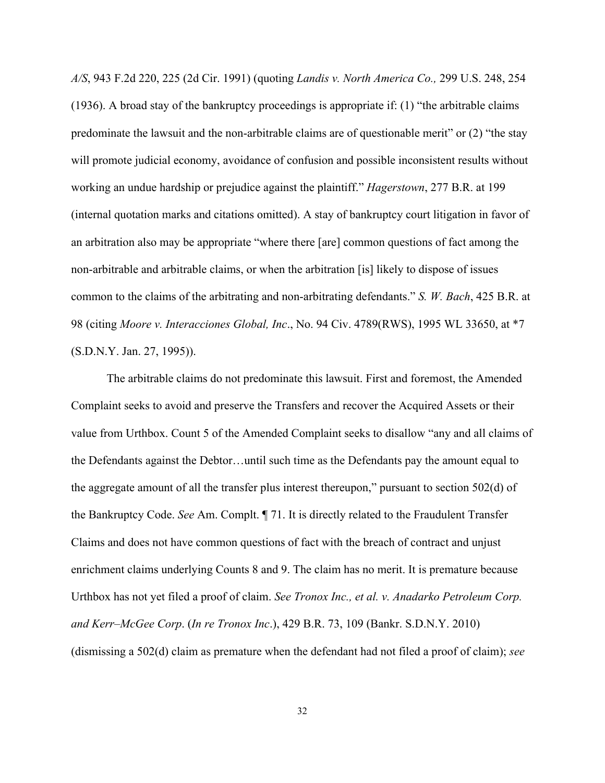*A/S*, 943 F.2d 220, 225 (2d Cir. 1991) (quoting *Landis v. North America Co.,* 299 U.S. 248, 254 (1936). A broad stay of the bankruptcy proceedings is appropriate if: (1) "the arbitrable claims predominate the lawsuit and the non-arbitrable claims are of questionable merit" or (2) "the stay will promote judicial economy, avoidance of confusion and possible inconsistent results without working an undue hardship or prejudice against the plaintiff." *Hagerstown*, 277 B.R. at 199 (internal quotation marks and citations omitted). A stay of bankruptcy court litigation in favor of an arbitration also may be appropriate "where there [are] common questions of fact among the non-arbitrable and arbitrable claims, or when the arbitration [is] likely to dispose of issues common to the claims of the arbitrating and non-arbitrating defendants." *S. W. Bach*, 425 B.R. at 98 (citing *Moore v. Interacciones Global, Inc*., No. 94 Civ. 4789(RWS), 1995 WL 33650, at \*7 (S.D.N.Y. Jan. 27, 1995)).

The arbitrable claims do not predominate this lawsuit. First and foremost, the Amended Complaint seeks to avoid and preserve the Transfers and recover the Acquired Assets or their value from Urthbox. Count 5 of the Amended Complaint seeks to disallow "any and all claims of the Defendants against the Debtor…until such time as the Defendants pay the amount equal to the aggregate amount of all the transfer plus interest thereupon," pursuant to section 502(d) of the Bankruptcy Code. *See* Am. Complt. ¶ 71. It is directly related to the Fraudulent Transfer Claims and does not have common questions of fact with the breach of contract and unjust enrichment claims underlying Counts 8 and 9. The claim has no merit. It is premature because Urthbox has not yet filed a proof of claim. *See Tronox Inc., et al. v. Anadarko Petroleum Corp. and Kerr–McGee Corp*. (*In re Tronox Inc*.), 429 B.R. 73, 109 (Bankr. S.D.N.Y. 2010) (dismissing a 502(d) claim as premature when the defendant had not filed a proof of claim); *see*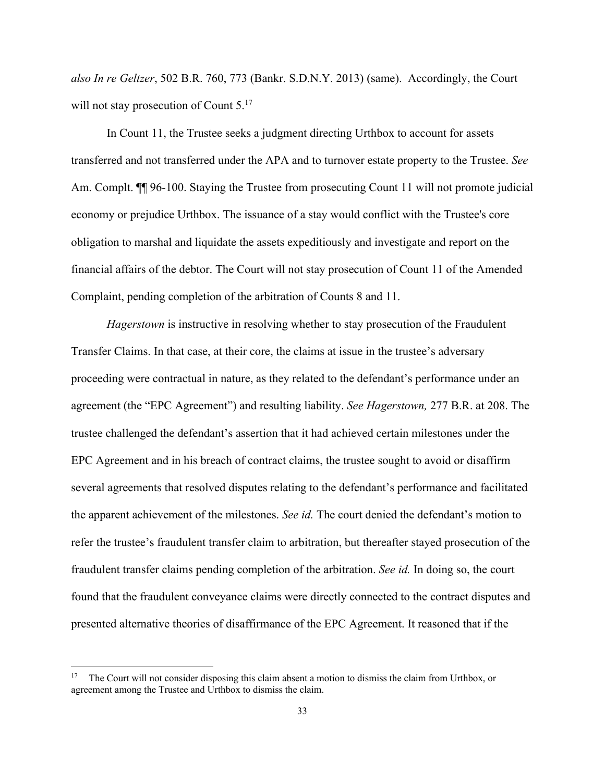*also In re Geltzer*, 502 B.R. 760, 773 (Bankr. S.D.N.Y. 2013) (same). Accordingly, the Court will not stay prosecution of Count 5.<sup>17</sup>

In Count 11, the Trustee seeks a judgment directing Urthbox to account for assets transferred and not transferred under the APA and to turnover estate property to the Trustee. *See*  Am. Complt.  $\P$  96-100. Staying the Trustee from prosecuting Count 11 will not promote judicial economy or prejudice Urthbox. The issuance of a stay would conflict with the Trustee's core obligation to marshal and liquidate the assets expeditiously and investigate and report on the financial affairs of the debtor. The Court will not stay prosecution of Count 11 of the Amended Complaint, pending completion of the arbitration of Counts 8 and 11.

*Hagerstown* is instructive in resolving whether to stay prosecution of the Fraudulent Transfer Claims. In that case, at their core, the claims at issue in the trustee's adversary proceeding were contractual in nature, as they related to the defendant's performance under an agreement (the "EPC Agreement") and resulting liability. *See Hagerstown,* 277 B.R. at 208. The trustee challenged the defendant's assertion that it had achieved certain milestones under the EPC Agreement and in his breach of contract claims, the trustee sought to avoid or disaffirm several agreements that resolved disputes relating to the defendant's performance and facilitated the apparent achievement of the milestones. *See id.* The court denied the defendant's motion to refer the trustee's fraudulent transfer claim to arbitration, but thereafter stayed prosecution of the fraudulent transfer claims pending completion of the arbitration. *See id.* In doing so, the court found that the fraudulent conveyance claims were directly connected to the contract disputes and presented alternative theories of disaffirmance of the EPC Agreement. It reasoned that if the

<sup>17</sup> The Court will not consider disposing this claim absent a motion to dismiss the claim from Urthbox, or agreement among the Trustee and Urthbox to dismiss the claim.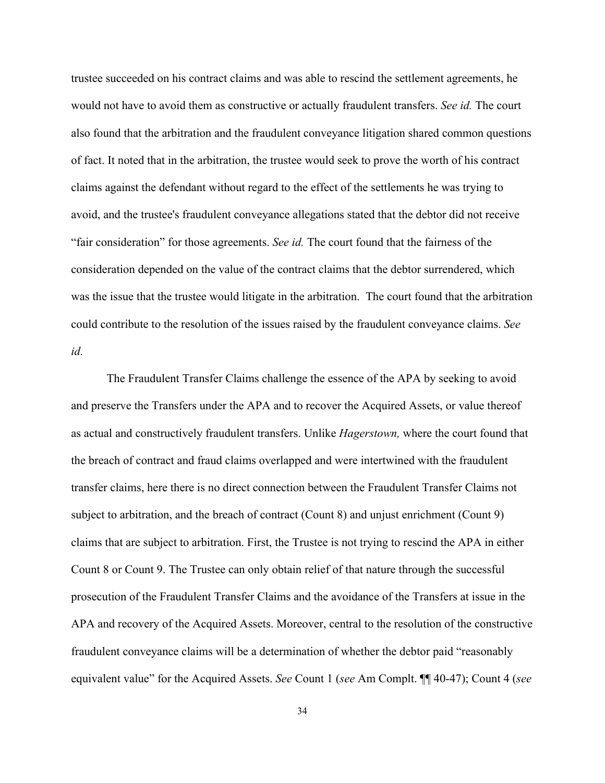trustee succeeded on his contract claims and was able to rescind the settlement agreements, he would not have to avoid them as constructive or actually fraudulent transfers. *See id.* The court also found that the arbitration and the fraudulent conveyance litigation shared common questions of fact. It noted that in the arbitration, the trustee would seek to prove the worth of his contract claims against the defendant without regard to the effect of the settlements he was trying to avoid, and the trustee's fraudulent conveyance allegations stated that the debtor did not receive "fair consideration" for those agreements. *See id.* The court found that the fairness of the consideration depended on the value of the contract claims that the debtor surrendered, which was the issue that the trustee would litigate in the arbitration. The court found that the arbitration could contribute to the resolution of the issues raised by the fraudulent conveyance claims. *See id.*

 The Fraudulent Transfer Claims challenge the essence of the APA by seeking to avoid and preserve the Transfers under the APA and to recover the Acquired Assets, or value thereof as actual and constructively fraudulent transfers. Unlike *Hagerstown,* where the court found that the breach of contract and fraud claims overlapped and were intertwined with the fraudulent transfer claims, here there is no direct connection between the Fraudulent Transfer Claims not subject to arbitration, and the breach of contract (Count 8) and unjust enrichment (Count 9) claims that are subject to arbitration. First, the Trustee is not trying to rescind the APA in either Count 8 or Count 9. The Trustee can only obtain relief of that nature through the successful prosecution of the Fraudulent Transfer Claims and the avoidance of the Transfers at issue in the APA and recovery of the Acquired Assets. Moreover, central to the resolution of the constructive fraudulent conveyance claims will be a determination of whether the debtor paid "reasonably equivalent value" for the Acquired Assets. *See* Count 1 (*see* Am Complt. ¶¶ 40-47); Count 4 (*see*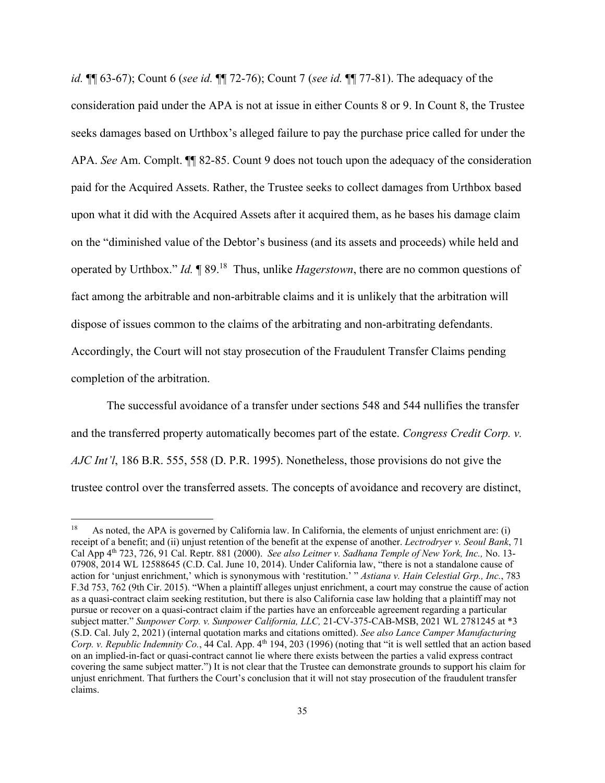*id.* ¶¶ 63-67); Count 6 (*see id.* ¶¶ 72-76); Count 7 (*see id.* ¶¶ 77-81). The adequacy of the consideration paid under the APA is not at issue in either Counts 8 or 9. In Count 8, the Trustee seeks damages based on Urthbox's alleged failure to pay the purchase price called for under the APA. *See* Am. Complt. ¶¶ 82-85. Count 9 does not touch upon the adequacy of the consideration paid for the Acquired Assets. Rather, the Trustee seeks to collect damages from Urthbox based upon what it did with the Acquired Assets after it acquired them, as he bases his damage claim on the "diminished value of the Debtor's business (and its assets and proceeds) while held and operated by Urthbox." *Id.* ¶ 89.18 Thus, unlike *Hagerstown*, there are no common questions of fact among the arbitrable and non-arbitrable claims and it is unlikely that the arbitration will dispose of issues common to the claims of the arbitrating and non-arbitrating defendants. Accordingly, the Court will not stay prosecution of the Fraudulent Transfer Claims pending completion of the arbitration.

The successful avoidance of a transfer under sections 548 and 544 nullifies the transfer and the transferred property automatically becomes part of the estate. *Congress Credit Corp. v. AJC Int'l*, 186 B.R. 555, 558 (D. P.R. 1995). Nonetheless, those provisions do not give the trustee control over the transferred assets. The concepts of avoidance and recovery are distinct,

<sup>18</sup> As noted, the APA is governed by California law. In California, the elements of unjust enrichment are: (i) receipt of a benefit; and (ii) unjust retention of the benefit at the expense of another. *Lectrodryer v. Seoul Bank*, 71 Cal App 4th 723, 726, 91 Cal. Reptr. 881 (2000). *See also Leitner v. Sadhana Temple of New York, Inc.,* No. 13- 07908, 2014 WL 12588645 (C.D. Cal. June 10, 2014). Under California law, "there is not a standalone cause of action for 'unjust enrichment,' which is synonymous with 'restitution.' " *Astiana v. Hain Celestial Grp., Inc.*, 783 F.3d 753, 762 (9th Cir. 2015). "When a plaintiff alleges unjust enrichment, a court may construe the cause of action as a quasi-contract claim seeking restitution, but there is also California case law holding that a plaintiff may not pursue or recover on a quasi-contract claim if the parties have an enforceable agreement regarding a particular subject matter." *Sunpower Corp. v. Sunpower California, LLC,* 21-CV-375-CAB-MSB, 2021 WL 2781245 at \*3 (S.D. Cal. July 2, 2021) (internal quotation marks and citations omitted). *See also Lance Camper Manufacturing Corp. v. Republic Indemnity Co.*, 44 Cal. App. 4<sup>th</sup> 194, 203 (1996) (noting that "it is well settled that an action based on an implied-in-fact or quasi-contract cannot lie where there exists between the parties a valid express contract covering the same subject matter.") It is not clear that the Trustee can demonstrate grounds to support his claim for unjust enrichment. That furthers the Court's conclusion that it will not stay prosecution of the fraudulent transfer claims.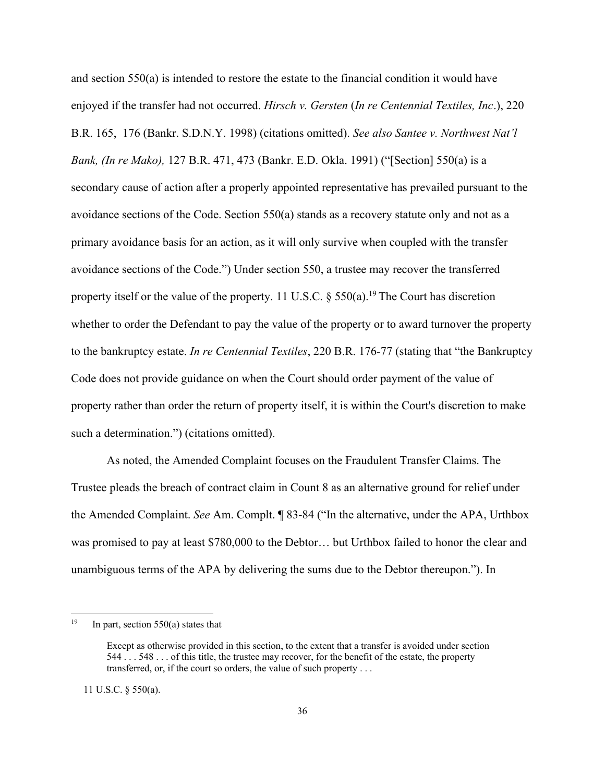and section 550(a) is intended to restore the estate to the financial condition it would have enjoyed if the transfer had not occurred. *Hirsch v. Gersten* (*In re Centennial Textiles, Inc*.), 220 B.R. 165, 176 (Bankr. S.D.N.Y. 1998) (citations omitted). *See also Santee v. Northwest Nat'l Bank, (In re Mako),* 127 B.R. 471, 473 (Bankr. E.D. Okla. 1991) ("[Section] 550(a) is a secondary cause of action after a properly appointed representative has prevailed pursuant to the avoidance sections of the Code. Section 550(a) stands as a recovery statute only and not as a primary avoidance basis for an action, as it will only survive when coupled with the transfer avoidance sections of the Code.") Under section 550, a trustee may recover the transferred property itself or the value of the property. 11 U.S.C.  $\S$  550(a).<sup>19</sup> The Court has discretion whether to order the Defendant to pay the value of the property or to award turnover the property to the bankruptcy estate. *In re Centennial Textiles*, 220 B.R. 176-77 (stating that "the Bankruptcy Code does not provide guidance on when the Court should order payment of the value of property rather than order the return of property itself, it is within the Court's discretion to make such a determination.") (citations omitted).

 As noted, the Amended Complaint focuses on the Fraudulent Transfer Claims. The Trustee pleads the breach of contract claim in Count 8 as an alternative ground for relief under the Amended Complaint. *See* Am. Complt. ¶ 83-84 ("In the alternative, under the APA, Urthbox was promised to pay at least \$780,000 to the Debtor… but Urthbox failed to honor the clear and unambiguous terms of the APA by delivering the sums due to the Debtor thereupon."). In

11 U.S.C. § 550(a).

<sup>&</sup>lt;sup>19</sup> In part, section  $550(a)$  states that

Except as otherwise provided in this section, to the extent that a transfer is avoided under section 544 . . . 548 . . . of this title, the trustee may recover, for the benefit of the estate, the property transferred, or, if the court so orders, the value of such property . . .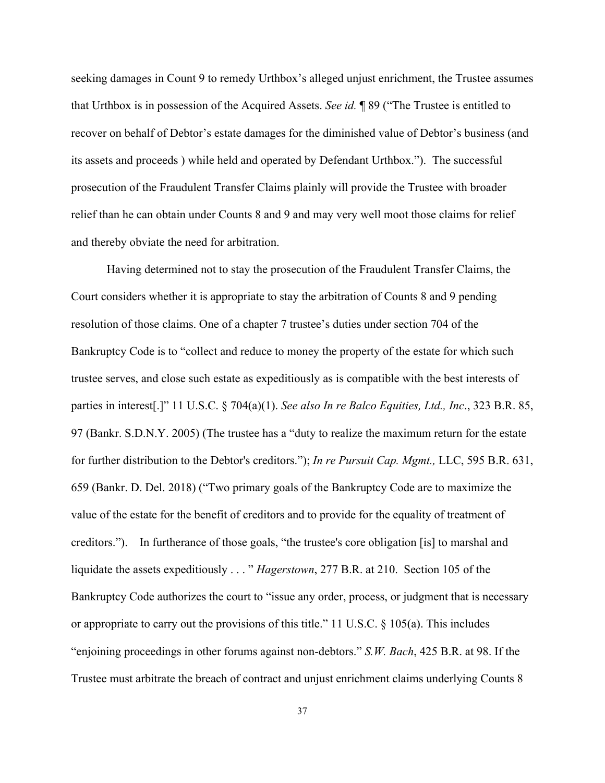seeking damages in Count 9 to remedy Urthbox's alleged unjust enrichment, the Trustee assumes that Urthbox is in possession of the Acquired Assets. *See id.* ¶ 89 ("The Trustee is entitled to recover on behalf of Debtor's estate damages for the diminished value of Debtor's business (and its assets and proceeds ) while held and operated by Defendant Urthbox."). The successful prosecution of the Fraudulent Transfer Claims plainly will provide the Trustee with broader relief than he can obtain under Counts 8 and 9 and may very well moot those claims for relief and thereby obviate the need for arbitration.

 Having determined not to stay the prosecution of the Fraudulent Transfer Claims, the Court considers whether it is appropriate to stay the arbitration of Counts 8 and 9 pending resolution of those claims. One of a chapter 7 trustee's duties under section 704 of the Bankruptcy Code is to "collect and reduce to money the property of the estate for which such trustee serves, and close such estate as expeditiously as is compatible with the best interests of parties in interest[.]" 11 U.S.C. § 704(a)(1). *See also In re Balco Equities, Ltd., Inc*., 323 B.R. 85, 97 (Bankr. S.D.N.Y. 2005) (The trustee has a "duty to realize the maximum return for the estate for further distribution to the Debtor's creditors."); *In re Pursuit Cap. Mgmt.,* LLC, 595 B.R. 631, 659 (Bankr. D. Del. 2018) ("Two primary goals of the Bankruptcy Code are to maximize the value of the estate for the benefit of creditors and to provide for the equality of treatment of creditors."). In furtherance of those goals, "the trustee's core obligation [is] to marshal and liquidate the assets expeditiously . . . " *Hagerstown*, 277 B.R. at 210. Section 105 of the Bankruptcy Code authorizes the court to "issue any order, process, or judgment that is necessary or appropriate to carry out the provisions of this title." 11 U.S.C. § 105(a). This includes "enjoining proceedings in other forums against non-debtors." *S.W. Bach*, 425 B.R. at 98. If the Trustee must arbitrate the breach of contract and unjust enrichment claims underlying Counts 8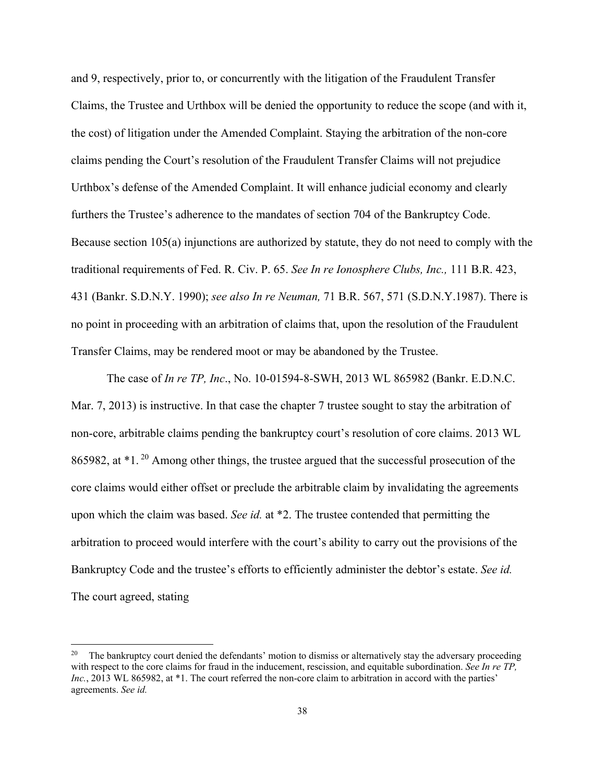and 9, respectively, prior to, or concurrently with the litigation of the Fraudulent Transfer Claims, the Trustee and Urthbox will be denied the opportunity to reduce the scope (and with it, the cost) of litigation under the Amended Complaint. Staying the arbitration of the non-core claims pending the Court's resolution of the Fraudulent Transfer Claims will not prejudice Urthbox's defense of the Amended Complaint. It will enhance judicial economy and clearly furthers the Trustee's adherence to the mandates of section 704 of the Bankruptcy Code. Because section 105(a) injunctions are authorized by statute, they do not need to comply with the traditional requirements of Fed. R. Civ. P. 65. *See In re Ionosphere Clubs, Inc.,* 111 B.R. 423, 431 (Bankr. S.D.N.Y. 1990); *see also In re Neuman,* 71 B.R. 567, 571 (S.D.N.Y.1987). There is no point in proceeding with an arbitration of claims that, upon the resolution of the Fraudulent Transfer Claims, may be rendered moot or may be abandoned by the Trustee.

The case of *In re TP, Inc*., No. 10-01594-8-SWH, 2013 WL 865982 (Bankr. E.D.N.C. Mar. 7, 2013) is instructive. In that case the chapter 7 trustee sought to stay the arbitration of non-core, arbitrable claims pending the bankruptcy court's resolution of core claims. 2013 WL 865982, at \*1. 20 Among other things, the trustee argued that the successful prosecution of the core claims would either offset or preclude the arbitrable claim by invalidating the agreements upon which the claim was based. *See id.* at \*2. The trustee contended that permitting the arbitration to proceed would interfere with the court's ability to carry out the provisions of the Bankruptcy Code and the trustee's efforts to efficiently administer the debtor's estate. *See id.* The court agreed, stating

<sup>&</sup>lt;sup>20</sup> The bankruptcy court denied the defendants' motion to dismiss or alternatively stay the adversary proceeding with respect to the core claims for fraud in the inducement, rescission, and equitable subordination. *See In re TP*, *Inc.*, 2013 WL 865982, at \*1. The court referred the non-core claim to arbitration in accord with the parties' agreements. *See id.*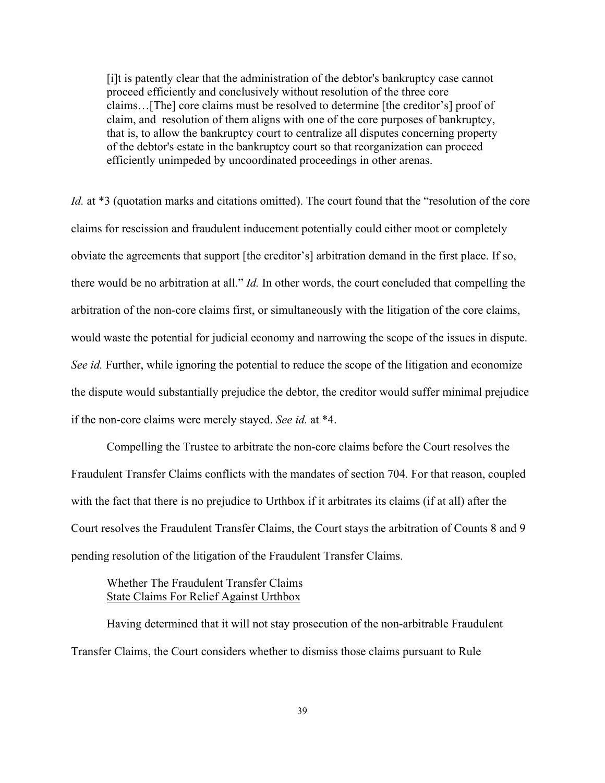[i]t is patently clear that the administration of the debtor's bankruptcy case cannot proceed efficiently and conclusively without resolution of the three core claims…[The] core claims must be resolved to determine [the creditor's] proof of claim, and resolution of them aligns with one of the core purposes of bankruptcy, that is, to allow the bankruptcy court to centralize all disputes concerning property of the debtor's estate in the bankruptcy court so that reorganization can proceed efficiently unimpeded by uncoordinated proceedings in other arenas.

*Id.* at \*3 (quotation marks and citations omitted). The court found that the "resolution of the core claims for rescission and fraudulent inducement potentially could either moot or completely obviate the agreements that support [the creditor's] arbitration demand in the first place. If so, there would be no arbitration at all." *Id.* In other words, the court concluded that compelling the arbitration of the non-core claims first, or simultaneously with the litigation of the core claims, would waste the potential for judicial economy and narrowing the scope of the issues in dispute. *See id.* Further, while ignoring the potential to reduce the scope of the litigation and economize the dispute would substantially prejudice the debtor, the creditor would suffer minimal prejudice if the non-core claims were merely stayed. *See id.* at \*4.

 Compelling the Trustee to arbitrate the non-core claims before the Court resolves the Fraudulent Transfer Claims conflicts with the mandates of section 704. For that reason, coupled with the fact that there is no prejudice to Urthbox if it arbitrates its claims (if at all) after the Court resolves the Fraudulent Transfer Claims, the Court stays the arbitration of Counts 8 and 9 pending resolution of the litigation of the Fraudulent Transfer Claims.

# Whether The Fraudulent Transfer Claims State Claims For Relief Against Urthbox

Having determined that it will not stay prosecution of the non-arbitrable Fraudulent Transfer Claims, the Court considers whether to dismiss those claims pursuant to Rule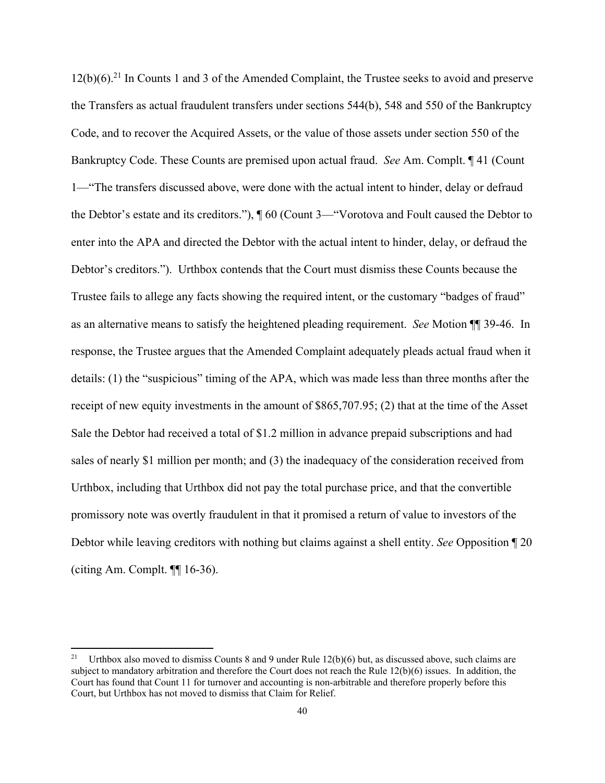$12(b)(6).^{21}$  In Counts 1 and 3 of the Amended Complaint, the Trustee seeks to avoid and preserve the Transfers as actual fraudulent transfers under sections 544(b), 548 and 550 of the Bankruptcy Code, and to recover the Acquired Assets, or the value of those assets under section 550 of the Bankruptcy Code. These Counts are premised upon actual fraud. *See* Am. Complt. ¶ 41 (Count 1—"The transfers discussed above, were done with the actual intent to hinder, delay or defraud the Debtor's estate and its creditors."), ¶ 60 (Count 3—"Vorotova and Foult caused the Debtor to enter into the APA and directed the Debtor with the actual intent to hinder, delay, or defraud the Debtor's creditors."). Urthbox contends that the Court must dismiss these Counts because the Trustee fails to allege any facts showing the required intent, or the customary "badges of fraud" as an alternative means to satisfy the heightened pleading requirement. *See* Motion ¶¶ 39-46. In response, the Trustee argues that the Amended Complaint adequately pleads actual fraud when it details: (1) the "suspicious" timing of the APA, which was made less than three months after the receipt of new equity investments in the amount of \$865,707.95; (2) that at the time of the Asset Sale the Debtor had received a total of \$1.2 million in advance prepaid subscriptions and had sales of nearly \$1 million per month; and (3) the inadequacy of the consideration received from Urthbox, including that Urthbox did not pay the total purchase price, and that the convertible promissory note was overtly fraudulent in that it promised a return of value to investors of the Debtor while leaving creditors with nothing but claims against a shell entity. *See* Opposition ¶ 20 (citing Am. Complt. ¶¶ 16-36).

<sup>&</sup>lt;sup>21</sup> Urthbox also moved to dismiss Counts 8 and 9 under Rule  $12(b)(6)$  but, as discussed above, such claims are subject to mandatory arbitration and therefore the Court does not reach the Rule 12(b)(6) issues. In addition, the Court has found that Count 11 for turnover and accounting is non-arbitrable and therefore properly before this Court, but Urthbox has not moved to dismiss that Claim for Relief.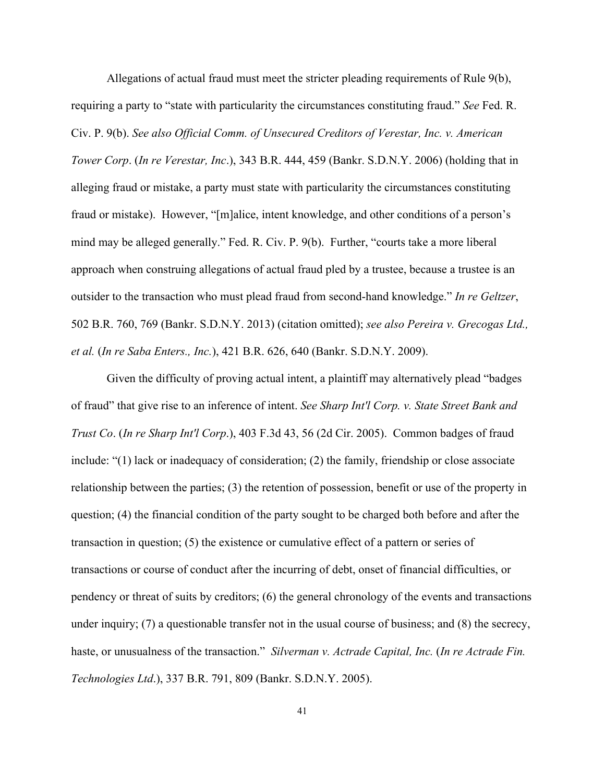Allegations of actual fraud must meet the stricter pleading requirements of Rule 9(b), requiring a party to "state with particularity the circumstances constituting fraud." *See* Fed. R. Civ. P. 9(b). *See also Official Comm. of Unsecured Creditors of Verestar, Inc. v. American Tower Corp*. (*In re Verestar, Inc*.), 343 B.R. 444, 459 (Bankr. S.D.N.Y. 2006) (holding that in alleging fraud or mistake, a party must state with particularity the circumstances constituting fraud or mistake). However, "[m]alice, intent knowledge, and other conditions of a person's mind may be alleged generally." Fed. R. Civ. P. 9(b). Further, "courts take a more liberal approach when construing allegations of actual fraud pled by a trustee, because a trustee is an outsider to the transaction who must plead fraud from second-hand knowledge." *In re Geltzer*, 502 B.R. 760, 769 (Bankr. S.D.N.Y. 2013) (citation omitted); *see also Pereira v. Grecogas Ltd., et al.* (*In re Saba Enters., Inc.*), 421 B.R. 626, 640 (Bankr. S.D.N.Y. 2009).

Given the difficulty of proving actual intent, a plaintiff may alternatively plead "badges of fraud" that give rise to an inference of intent. *See Sharp Int'l Corp. v. State Street Bank and Trust Co*. (*In re Sharp Int'l Corp*.), 403 F.3d 43, 56 (2d Cir. 2005). Common badges of fraud include: "(1) lack or inadequacy of consideration; (2) the family, friendship or close associate relationship between the parties; (3) the retention of possession, benefit or use of the property in question; (4) the financial condition of the party sought to be charged both before and after the transaction in question; (5) the existence or cumulative effect of a pattern or series of transactions or course of conduct after the incurring of debt, onset of financial difficulties, or pendency or threat of suits by creditors; (6) the general chronology of the events and transactions under inquiry; (7) a questionable transfer not in the usual course of business; and (8) the secrecy, haste, or unusualness of the transaction." *Silverman v. Actrade Capital, Inc.* (*In re Actrade Fin. Technologies Ltd*.), 337 B.R. 791, 809 (Bankr. S.D.N.Y. 2005).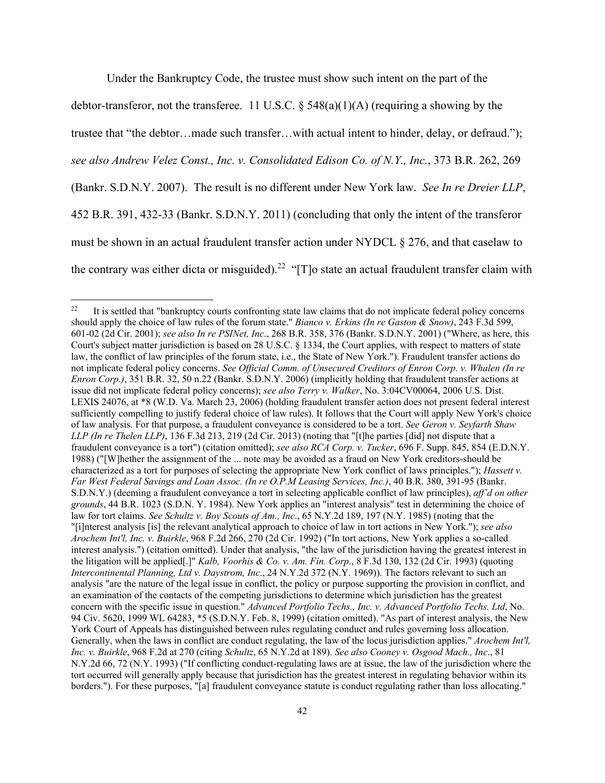Under the Bankruptcy Code, the trustee must show such intent on the part of the debtor-transferor, not the transferee. 11 U.S.C. §  $548(a)(1)(A)$  (requiring a showing by the trustee that "the debtor…made such transfer…with actual intent to hinder, delay, or defraud."); *see also Andrew Velez Const., Inc. v. Consolidated Edison Co. of N.Y., Inc.*, 373 B.R. 262, 269 (Bankr. S.D.N.Y. 2007). The result is no different under New York law. *See In re Dreier LLP*, 452 B.R. 391, 432-33 (Bankr. S.D.N.Y. 2011) (concluding that only the intent of the transferor must be shown in an actual fraudulent transfer action under NYDCL § 276, and that caselaw to the contrary was either dicta or misguided).<sup>22</sup> "[T]o state an actual fraudulent transfer claim with

<sup>&</sup>lt;sup>22</sup> It is settled that "bankruptcy courts confronting state law claims that do not implicate federal policy concerns should apply the choice of law rules of the forum state." *Bianco v. Erkins (In re Gaston & Snow)*, 243 F.3d 599, 601-02 (2d Cir. 2001); *see also In re PSINet, Inc*., 268 B.R. 358, 376 (Bankr. S.D.N.Y. 2001) ("Where, as here, this Court's subject matter jurisdiction is based on 28 U.S.C. § 1334, the Court applies, with respect to matters of state law, the conflict of law principles of the forum state, i.e., the State of New York."). Fraudulent transfer actions do not implicate federal policy concerns. *See Official Comm. of Unsecured Creditors of Enron Corp. v. Whalen (In re Enron Corp.)*, 351 B.R. 32, 50 n.22 (Bankr. S.D.N.Y. 2006) (implicitly holding that fraudulent transfer actions at issue did not implicate federal policy concerns); *see also Terry v. Walker*, No. 3:04CV00064, 2006 U.S. Dist. LEXIS 24076, at \*8 (W.D. Va. March 23, 2006) (holding fraudulent transfer action does not present federal interest sufficiently compelling to justify federal choice of law rules). It follows that the Court will apply New York's choice of law analysis. For that purpose, a fraudulent conveyance is considered to be a tort. *See Geron v. Seyfarth Shaw LLP (In re Thelen LLP)*, 136 F.3d 213, 219 (2d Cir. 2013) (noting that "[t]he parties [did] not dispute that a fraudulent conveyance is a tort") (citation omitted); *see also RCA Corp. v. Tucker*, 696 F. Supp. 845, 854 (E.D.N.Y. 1988) ("[W]hether the assignment of the ... note may be avoided as a fraud on New York creditors-should be characterized as a tort for purposes of selecting the appropriate New York conflict of laws principles."); *Hassett v. Far West Federal Savings and Loan Assoc. (In re O.P.M Leasing Services, Inc.)*, 40 B.R. 380, 391-95 (Bankr. S.D.N.Y.) (deeming a fraudulent conveyance a tort in selecting applicable conflict of law principles), *aff'd on other grounds*, 44 B.R. 1023 (S.D.N. Y. 1984). New York applies an "interest analysis" test in determining the choice of law for tort claims. *See Schultz v. Boy Scouts of Am., Inc*., 65 N.Y.2d 189, 197 (N.Y. 1985) (noting that the "[i]nterest analysis [is] the relevant analytical approach to choice of law in tort actions in New York."); *see also Arochem Int'l, Inc. v. Buirkle*, 968 F.2d 266, 270 (2d Cir. 1992) ("In tort actions, New York applies a so-called interest analysis.") (citation omitted). Under that analysis, "the law of the jurisdiction having the greatest interest in the litigation will be applied[.]" *Kalb, Voorhis & Co. v. Am. Fin. Corp*., 8 F.3d 130, 132 (2d Cir. 1993) (quoting *Intercontinental Planning, Ltd v. Daystrom, Inc*., 24 N.Y.2d 372 (N.Y. 1969)). The factors relevant to such an analysis "are the nature of the legal issue in conflict, the policy or purpose supporting the provision in conflict, and an examination of the contacts of the competing jurisdictions to determine which jurisdiction has the greatest concern with the specific issue in question." *Advanced Portfolio Techs., Inc. v. Advanced Portfolio Techs. Ltd*, No. 94 Civ. 5620, 1999 WL 64283, \*5 (S.D.N.Y. Feb. 8, 1999) (citation omitted). "As part of interest analysis, the New York Court of Appeals has distinguished between rules regulating conduct and rules governing loss allocation. Generally, when the laws in conflict are conduct regulating, the law of the locus jurisdiction applies." *Arochem Int'l, Inc. v. Buirkle*, 968 F.2d at 270 (citing *Schultz*, 65 N.Y.2d at 189). *See also Cooney v. Osgood Mach., Inc*., 81 N.Y.2d 66, 72 (N.Y. 1993) ("If conflicting conduct-regulating laws are at issue, the law of the jurisdiction where the tort occurred will generally apply because that jurisdiction has the greatest interest in regulating behavior within its borders."). For these purposes, "[a] fraudulent conveyance statute is conduct regulating rather than loss allocating."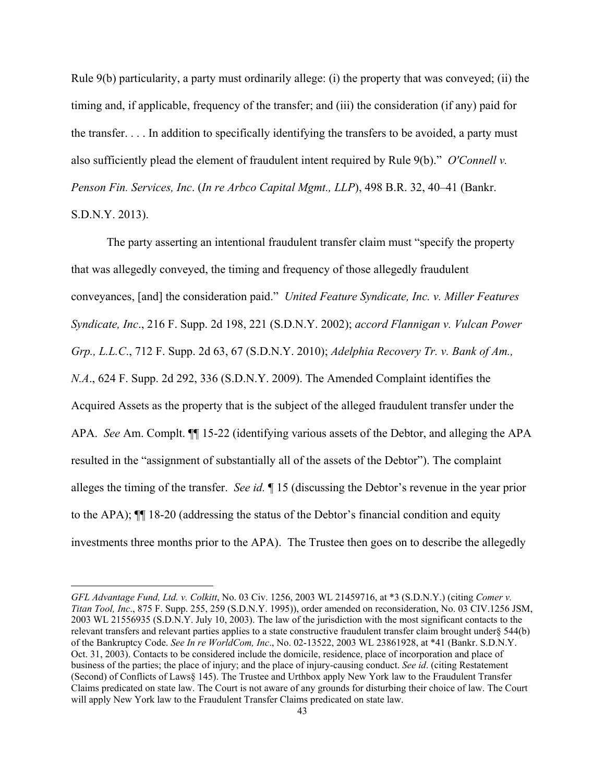Rule 9(b) particularity, a party must ordinarily allege: (i) the property that was conveyed; (ii) the timing and, if applicable, frequency of the transfer; and (iii) the consideration (if any) paid for the transfer. . . . In addition to specifically identifying the transfers to be avoided, a party must also sufficiently plead the element of fraudulent intent required by Rule 9(b)." *O'Connell v. Penson Fin. Services, Inc*. (*In re Arbco Capital Mgmt., LLP*), 498 B.R. 32, 40–41 (Bankr. S.D.N.Y. 2013).

The party asserting an intentional fraudulent transfer claim must "specify the property that was allegedly conveyed, the timing and frequency of those allegedly fraudulent conveyances, [and] the consideration paid." *United Feature Syndicate, Inc. v. Miller Features Syndicate, Inc*., 216 F. Supp. 2d 198, 221 (S.D.N.Y. 2002); *accord Flannigan v. Vulcan Power Grp., L.L.C*., 712 F. Supp. 2d 63, 67 (S.D.N.Y. 2010); *Adelphia Recovery Tr. v. Bank of Am., N.A*., 624 F. Supp. 2d 292, 336 (S.D.N.Y. 2009). The Amended Complaint identifies the Acquired Assets as the property that is the subject of the alleged fraudulent transfer under the APA. *See* Am. Complt. ¶¶ 15-22 (identifying various assets of the Debtor, and alleging the APA resulted in the "assignment of substantially all of the assets of the Debtor"). The complaint alleges the timing of the transfer. *See id.* ¶ 15 (discussing the Debtor's revenue in the year prior to the APA); ¶¶ 18-20 (addressing the status of the Debtor's financial condition and equity investments three months prior to the APA). The Trustee then goes on to describe the allegedly

*GFL Advantage Fund, Ltd. v. Colkitt*, No. 03 Civ. 1256, 2003 WL 21459716, at \*3 (S.D.N.Y.) (citing *Comer v. Titan Tool, Inc*., 875 F. Supp. 255, 259 (S.D.N.Y. 1995)), order amended on reconsideration, No. 03 CIV.1256 JSM, 2003 WL 21556935 (S.D.N.Y. July 10, 2003). The law of the jurisdiction with the most significant contacts to the relevant transfers and relevant parties applies to a state constructive fraudulent transfer claim brought under§ 544(b) of the Bankruptcy Code. *See In re WorldCom, Inc*., No. 02-13522, 2003 WL 23861928, at \*41 (Bankr. S.D.N.Y. Oct. 31, 2003). Contacts to be considered include the domicile, residence, place of incorporation and place of business of the parties; the place of injury; and the place of injury-causing conduct. *See id*. (citing Restatement (Second) of Conflicts of Laws§ 145). The Trustee and Urthbox apply New York law to the Fraudulent Transfer Claims predicated on state law. The Court is not aware of any grounds for disturbing their choice of law. The Court will apply New York law to the Fraudulent Transfer Claims predicated on state law.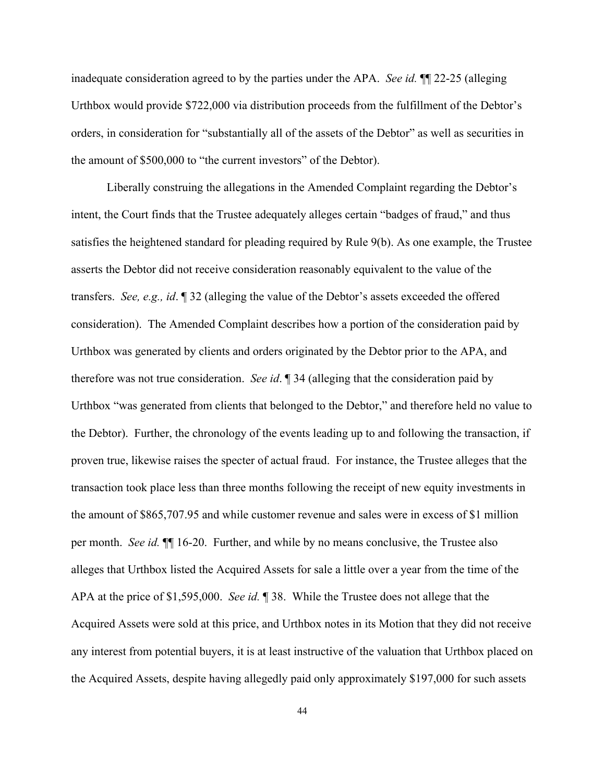inadequate consideration agreed to by the parties under the APA. *See id.* ¶¶ 22-25 (alleging Urthbox would provide \$722,000 via distribution proceeds from the fulfillment of the Debtor's orders, in consideration for "substantially all of the assets of the Debtor" as well as securities in the amount of \$500,000 to "the current investors" of the Debtor).

Liberally construing the allegations in the Amended Complaint regarding the Debtor's intent, the Court finds that the Trustee adequately alleges certain "badges of fraud," and thus satisfies the heightened standard for pleading required by Rule 9(b). As one example, the Trustee asserts the Debtor did not receive consideration reasonably equivalent to the value of the transfers. *See, e.g., id*. ¶ 32 (alleging the value of the Debtor's assets exceeded the offered consideration). The Amended Complaint describes how a portion of the consideration paid by Urthbox was generated by clients and orders originated by the Debtor prior to the APA, and therefore was not true consideration. *See id*. ¶ 34 (alleging that the consideration paid by Urthbox "was generated from clients that belonged to the Debtor," and therefore held no value to the Debtor). Further, the chronology of the events leading up to and following the transaction, if proven true, likewise raises the specter of actual fraud. For instance, the Trustee alleges that the transaction took place less than three months following the receipt of new equity investments in the amount of \$865,707.95 and while customer revenue and sales were in excess of \$1 million per month. *See id.* ¶¶ 16-20. Further, and while by no means conclusive, the Trustee also alleges that Urthbox listed the Acquired Assets for sale a little over a year from the time of the APA at the price of \$1,595,000. *See id.* ¶ 38. While the Trustee does not allege that the Acquired Assets were sold at this price, and Urthbox notes in its Motion that they did not receive any interest from potential buyers, it is at least instructive of the valuation that Urthbox placed on the Acquired Assets, despite having allegedly paid only approximately \$197,000 for such assets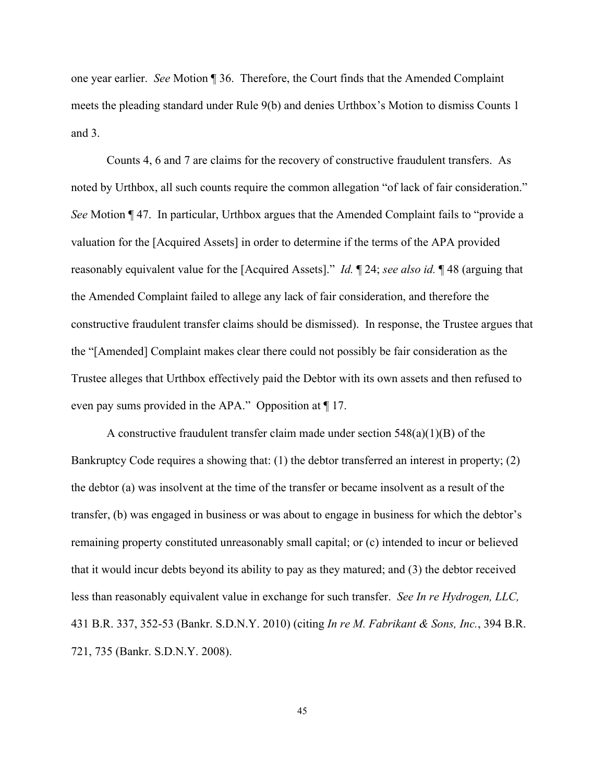one year earlier. *See* Motion ¶ 36. Therefore, the Court finds that the Amended Complaint meets the pleading standard under Rule 9(b) and denies Urthbox's Motion to dismiss Counts 1 and 3.

Counts 4, 6 and 7 are claims for the recovery of constructive fraudulent transfers. As noted by Urthbox, all such counts require the common allegation "of lack of fair consideration." *See* Motion ¶ 47. In particular, Urthbox argues that the Amended Complaint fails to "provide a valuation for the [Acquired Assets] in order to determine if the terms of the APA provided reasonably equivalent value for the [Acquired Assets]." *Id.* ¶ 24; *see also id.* ¶ 48 (arguing that the Amended Complaint failed to allege any lack of fair consideration, and therefore the constructive fraudulent transfer claims should be dismissed). In response, the Trustee argues that the "[Amended] Complaint makes clear there could not possibly be fair consideration as the Trustee alleges that Urthbox effectively paid the Debtor with its own assets and then refused to even pay sums provided in the APA." Opposition at ¶ 17.

A constructive fraudulent transfer claim made under section  $548(a)(1)(B)$  of the Bankruptcy Code requires a showing that: (1) the debtor transferred an interest in property; (2) the debtor (a) was insolvent at the time of the transfer or became insolvent as a result of the transfer, (b) was engaged in business or was about to engage in business for which the debtor's remaining property constituted unreasonably small capital; or (c) intended to incur or believed that it would incur debts beyond its ability to pay as they matured; and (3) the debtor received less than reasonably equivalent value in exchange for such transfer. *See In re Hydrogen, LLC,*  431 B.R. 337, 352-53 (Bankr. S.D.N.Y. 2010) (citing *In re M. Fabrikant & Sons, Inc.*, 394 B.R. 721, 735 (Bankr. S.D.N.Y. 2008).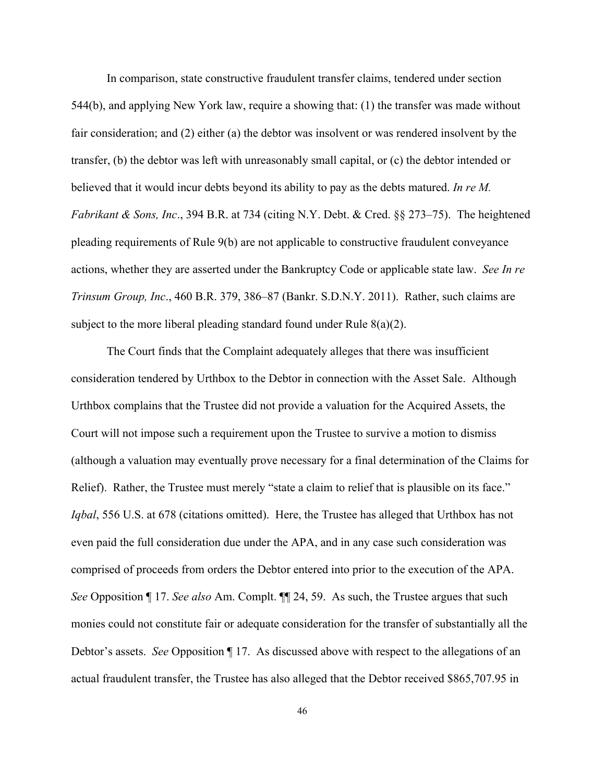In comparison, state constructive fraudulent transfer claims, tendered under section 544(b), and applying New York law, require a showing that: (1) the transfer was made without fair consideration; and (2) either (a) the debtor was insolvent or was rendered insolvent by the transfer, (b) the debtor was left with unreasonably small capital, or (c) the debtor intended or believed that it would incur debts beyond its ability to pay as the debts matured. *In re M. Fabrikant & Sons, Inc*., 394 B.R. at 734 (citing N.Y. Debt. & Cred. §§ 273–75). The heightened pleading requirements of Rule 9(b) are not applicable to constructive fraudulent conveyance actions, whether they are asserted under the Bankruptcy Code or applicable state law. *See In re Trinsum Group, Inc*., 460 B.R. 379, 386–87 (Bankr. S.D.N.Y. 2011). Rather, such claims are subject to the more liberal pleading standard found under Rule  $8(a)(2)$ .

The Court finds that the Complaint adequately alleges that there was insufficient consideration tendered by Urthbox to the Debtor in connection with the Asset Sale. Although Urthbox complains that the Trustee did not provide a valuation for the Acquired Assets, the Court will not impose such a requirement upon the Trustee to survive a motion to dismiss (although a valuation may eventually prove necessary for a final determination of the Claims for Relief). Rather, the Trustee must merely "state a claim to relief that is plausible on its face." *Iqbal*, 556 U.S. at 678 (citations omitted). Here, the Trustee has alleged that Urthbox has not even paid the full consideration due under the APA, and in any case such consideration was comprised of proceeds from orders the Debtor entered into prior to the execution of the APA. *See* Opposition ¶ 17. *See also* Am. Complt. ¶¶ 24, 59. As such, the Trustee argues that such monies could not constitute fair or adequate consideration for the transfer of substantially all the Debtor's assets. *See* Opposition ¶ 17. As discussed above with respect to the allegations of an actual fraudulent transfer, the Trustee has also alleged that the Debtor received \$865,707.95 in